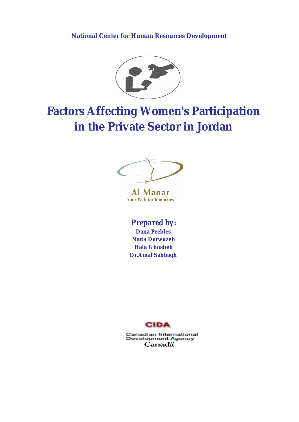### **National Center for Human Resources Development**



# **Factors Affecting Women's Participation in the Private Sector in Jordan**



Manar AI **Your Path for tomorrow** 

# *Prepared by:*

**Dana Peebles Nada Darwazeh Hala Ghosheh Dr.Amal Sabbagh**



Canadian International<br>Development Agency Canadä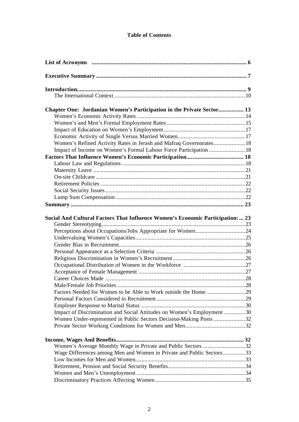### **Table of Contents**

| Chapter One: Jordanian Women's Participation in the Private Sector 13          |  |
|--------------------------------------------------------------------------------|--|
|                                                                                |  |
|                                                                                |  |
|                                                                                |  |
|                                                                                |  |
| Women's Refined Activity Rates in Jerash and Mafraq Governorates 18            |  |
| Impact of Income on Women's Formal Labour Force Participation  18              |  |
|                                                                                |  |
|                                                                                |  |
|                                                                                |  |
|                                                                                |  |
|                                                                                |  |
|                                                                                |  |
|                                                                                |  |
|                                                                                |  |
| Social And Cultural Factors That Influence Women's Economic Participation:  23 |  |
| Perceptions about Occupations/Jobs Appropriate for Women24                     |  |
|                                                                                |  |
|                                                                                |  |
|                                                                                |  |
|                                                                                |  |
|                                                                                |  |
|                                                                                |  |
|                                                                                |  |
|                                                                                |  |
|                                                                                |  |
|                                                                                |  |
|                                                                                |  |
| Impact of Discrimination and Social Attitudes on Women's Employment 30         |  |
| Women Under-represented in Public Sectors Decision-Making Posts 32             |  |
|                                                                                |  |
|                                                                                |  |
| Women's Average Monthly Wage in Private and Public Sectors 32                  |  |
| Wage Differences among Men and Women in Private and Public Sectors33           |  |
|                                                                                |  |
|                                                                                |  |
|                                                                                |  |
|                                                                                |  |
|                                                                                |  |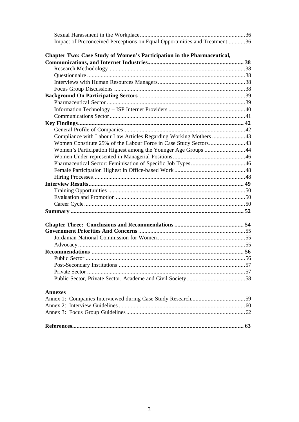| Impact of Preconceived Perceptions on Equal Opportunities and Treatment 36 |  |
|----------------------------------------------------------------------------|--|
| Chapter Two: Case Study of Women's Participation in the Pharmaceutical,    |  |
|                                                                            |  |
|                                                                            |  |
|                                                                            |  |
|                                                                            |  |
|                                                                            |  |
|                                                                            |  |
|                                                                            |  |
|                                                                            |  |
|                                                                            |  |
|                                                                            |  |
|                                                                            |  |
| Compliance with Labour Law Articles Regarding Working Mothers 43           |  |
|                                                                            |  |
| Women's Participation Highest among the Younger Age Groups 44              |  |
|                                                                            |  |
|                                                                            |  |
|                                                                            |  |
|                                                                            |  |
|                                                                            |  |
|                                                                            |  |
|                                                                            |  |
|                                                                            |  |
|                                                                            |  |
|                                                                            |  |
|                                                                            |  |
|                                                                            |  |
|                                                                            |  |
|                                                                            |  |
|                                                                            |  |
|                                                                            |  |
|                                                                            |  |
|                                                                            |  |
| <b>Annexes</b>                                                             |  |
|                                                                            |  |
|                                                                            |  |
|                                                                            |  |
|                                                                            |  |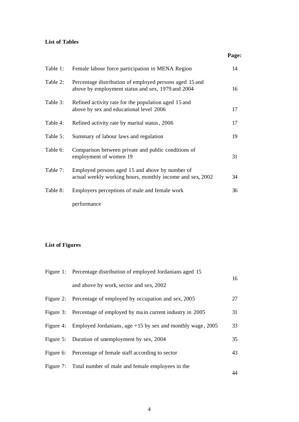#### **List of Tables**

| Table 1: | Female labour force participation in MENA Region                                                             | 14 |
|----------|--------------------------------------------------------------------------------------------------------------|----|
| Table 2: | Percentage distribution of employed persons aged 15 and<br>above by employment status and sex, 1979 and 2004 | 16 |
| Table 3: | Refined activity rate for the population aged 15 and<br>above by sex and educational level 2006              | 17 |
| Table 4: | Refined activity rate by marital status, 2006                                                                | 17 |
| Table 5: | Summary of labour laws and regulation                                                                        | 19 |
| Table 6: | Comparison between private and public conditions of<br>employment of women 19                                | 31 |
| Table 7: | Employed persons aged 15 and above by number of<br>actual weekly working hours, monthly income and sex, 2002 | 34 |
| Table 8: | Employers perceptions of male and female work                                                                | 36 |
|          | performance                                                                                                  |    |

**Page:**

# **List of Figures**

| Figure 1: Percentage distribution of employed Jordanians aged 15       | 16 |
|------------------------------------------------------------------------|----|
| and above by work, sector and sex, 2002                                |    |
| Figure 2: Percentage of employed by occupation and sex, 2005           | 27 |
| Figure 3: Percentage of employed by main current industry in 2005      | 31 |
| Figure 4: Employed Jordanians, age $+15$ by sex and monthly wage, 2005 | 33 |
| Figure 5: Duration of unemployment by sex, 2004                        | 35 |
| Figure 6: Percentage of female staff according to sector               | 43 |
| Figure 7: Total number of male and female employees in the             |    |
|                                                                        | 44 |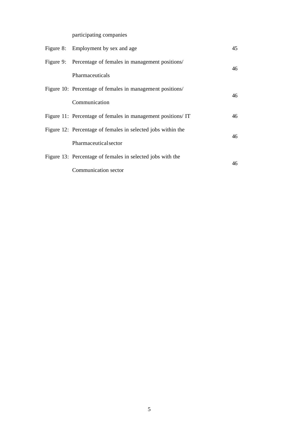participating companies

| Figure 8: Employment by sex and age                          | 45 |
|--------------------------------------------------------------|----|
| Figure 9: Percentage of females in management positions/     | 46 |
| Pharmaceuticals                                              |    |
| Figure 10: Percentage of females in management positions/    | 46 |
| Communication                                                |    |
| Figure 11: Percentage of females in management positions/IT  | 46 |
| Figure 12: Percentage of females in selected jobs within the | 46 |
| Pharmaceutical sector                                        |    |
| Figure 13: Percentage of females in selected jobs with the   |    |
| Communication sector                                         | 46 |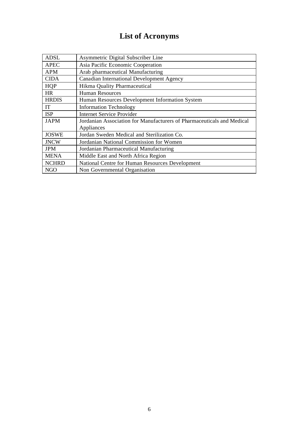# **List of Acronyms**

| <b>ADSL</b>  | Asymmetric Digital Subscriber Line                                     |
|--------------|------------------------------------------------------------------------|
| <b>APEC</b>  | Asia Pacific Economic Cooperation                                      |
| <b>APM</b>   | Arab pharmaceutical Manufacturing                                      |
| <b>CIDA</b>  | Canadian International Development Agency                              |
| HQP          | Hikma Quality Pharmaceutical                                           |
| <b>HR</b>    | <b>Human Resources</b>                                                 |
| <b>HRDIS</b> | Human Resources Development Information System                         |
| IT           | <b>Information Technology</b>                                          |
| <b>ISP</b>   | <b>Internet Service Provider</b>                                       |
| <b>JAPM</b>  | Jordanian Association for Manufacturers of Pharmaceuticals and Medical |
|              | Appliances                                                             |
| <b>JOSWE</b> | Jordan Sweden Medical and Sterilization Co.                            |
| <b>JNCW</b>  | Jordanian National Commission for Women                                |
| <b>JPM</b>   | Jordanian Pharmaceutical Manufacturing                                 |
| <b>MENA</b>  | Middle East and North Africa Region                                    |
| <b>NCHRD</b> | National Centre for Human Resources Development                        |
| NGO          | Non Governmental Organisation                                          |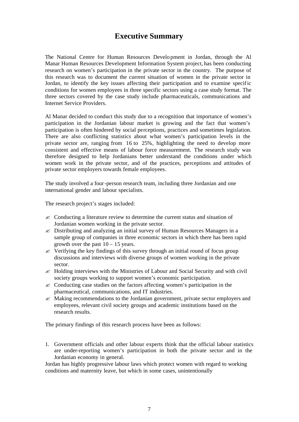# **Executive Summary**

The National Centre for Human Resources Develo pment in Jordan, through the Al Manar Human Resources Development Information System project, has been conducting research on women's participation in the private sector in the country. The purpose of this research was to document the current situation of women in the private sector in Jordan, to identify the key issues affecting their participation and to examine specific conditions for women employees in three specific sectors using a case study format. The three sectors covered by the case study include pharmaceuticals, communications and Internet Service Providers.

Al Manar decided to conduct this study due to a recognition that importance of women's participation in the Jordanian labour market is growing and the fact that women's participation is often hindered by social perceptions, practices and sometimes legislation. There are also conflicting statistics about what women's participation levels in the private sector are, ranging from 16 to 25%, highlighting the need to develop more consistent and effective means of labour force measurement. The research study was therefore designed to help Jordanians better understand the conditions under which women work in the private sector, and of the practices, perceptions and attitudes of private sector employers towards female employees.

The study involved a four-person research team, including three Jordanian and one international gender and labour specialists.

The research project's stages included:

- $\ll$  Conducting a literature review to determine the current status and situation of Jordanian women working in the private sector.
- $\mathscr{\mathscr{L}}$  Distributing and analyzing an initial survey of Human Resources Managers in a sample group of companies in three economic sectors in which there has been rapid growth over the past  $10 - 15$  years.
- $\&$  Verifying the key findings of this survey through an initial round of focus group discussions and interviews with diverse groups of women working in the private sector.
- $\mathscr{\mathscr{E}}$  Holding interviews with the Ministries of Labour and Social Security and with civil society groups working to support women's economic participation.
- ? Conducting case studies on the factors affecting women's participation in the pharmaceutical, communications, and IT industries.
- $\mathscr{\mathscr{L}}$  Making recommendations to the Jordanian government, private sector employers and employees, relevant civil society groups and academic institutions based on the research results.

The primary findings of this research process have been as follows:

1. Government officials and other labour experts think that the official labour statistics are under-reporting women's participation in both the private sector and in the Jordanian economy in general.

Jordan has highly progressive labour laws which protect women with regard to working conditions and maternity leave, but which in some cases, unintentionally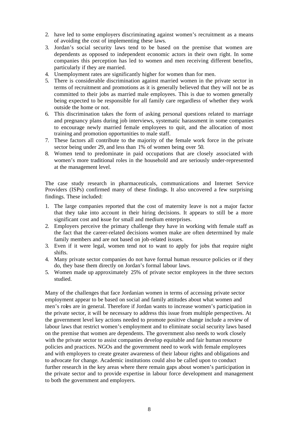- 2. have led to some employers discriminating against women's recruitment as a means of avoiding the cost of implementing these laws.
- 3. Jordan's social security laws tend to be based on the premise that women are dependents as opposed to independent economic actors in their own right. In some companies this perception has led to women and men receiving different benefits, particularly if they are married.
- 4. Unemployment rates are significantly higher for women than for men.
- 5. There is considerable discrimination against married women in the private sector in terms of recruitment and promotions as it is generally believed that they will not be as committed to their jobs as married male employees. This is due to women generally being expected to be responsible for all family care regardless of whether they work outside the home or not.
- 6. This discrimination takes the form of asking personal questions related to marriage and pregnancy plans during job interviews, systematic harassment in some companies to encourage newly married female employees to quit, and the allocation of most training and promotion opportunities to male staff.
- 7. These factors all contribute to the majority of the female work force in the private sector being under 29, and less than 1% of women being over 50.
- 8. Women tend to predominate in paid occupations that are closely associated with women's more traditional roles in the household and are seriously under-represented at the management level.

The case study research in pharmaceuticals, communications and Internet Service Providers (ISPs) confirmed many of these findings. It also uncovered a few surprising findings. These included:

- 1. The large companies reported that the cost of maternity leave is not a major factor that they take into account in their hiring decisions. It appears to still be a more significant cost and issue for small and medium enterprises.
- 2. Employers perceive the primary challenge they have in working with female staff as the fact that the career-related decisions women make are often determined by male family members and are not based on job-related issues.
- 3. Even if it were legal, women tend not to want to apply for jobs that require night shifts.
- 4. Many private sector companies do not have formal human resource policies or if they do, they base them directly on Jordan's formal labour laws.
- 5. Women made up approximately 25% of private sector employees in the three sectors studied.

Many of the challenges that face Jordanian women in terms of accessing private sector employment appear to be based on social and family attitudes about what women and men's roles are in general. Therefore if Jordan wants to increase women's participation in the private sector, it will be necessary to address this issue from multiple perspectives. At the government level key actions needed to promote positive change include a review of labour laws that restrict women's employment and to eliminate social security laws based on the premise that women are dependents. The government also needs to work closely with the private sector to assist companies develop equitable and fair human resource policies and practices. NGOs and the government need to work with female employees and with employers to create greater awareness of their labour rights and obligations and to advocate for change. Academic institutions could also be called upon to conduct further research in the key areas where there remain gaps about women's participation in the private sector and to provide expertise in labour force development and management to both the government and employers.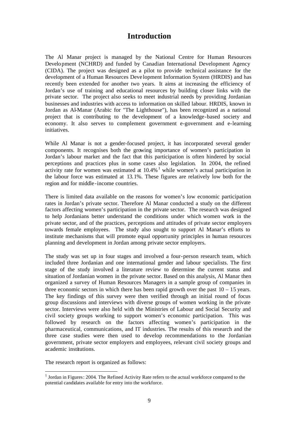# **Introduction**

The Al Manar project is managed by the National Centre for Human Resources Development (NCHRD) and funded by Canadian International Development Agency (CIDA). The project was designed as a pilot to provide technical assistance for the development of a Human Resources Deve lopment Information System (HRDIS) and has recently been extended for another two years. It aims at increasing the efficiency of Jordan's use of training and educational resources by building closer links with the private sector. The project also seeks to meet industrial needs by providing Jordanian businesses and industries with access to information on skilled labour. HRDIS, known in Jordan as Al-Manar (Arabic for "The Lighthouse"), has been recognized as a national project that is contributing to the development of a knowledge-based society and economy. It also serves to complement government e-government and e-learning initiatives.

While Al Manar is not a gender-focused project, it has incorporated several gender components. It recognises both the growing importance of women's participation in Jordan's labour market and the fact that this participation is often hindered by social perceptions and practices plus in some cases also legislation. In 2004, the refined activity rate for women was estimated at  $10.4\%$ <sup>1</sup> while women's actual participation in the labour force was estimated at 13.1%. These figures are relatively low both for the region and for middle -income countries.

There is limited data available on the reasons for women's low economic participation rates in Jordan's private sector. Therefore Al Manar conducted a study on the different factors affecting women's participation in the private sector. The research was designed to help Jordanians better understand the conditions under which women work in the private sector, and of the practices, perceptions and attitudes of private sector employers towards female employees. The study also sought to support Al Manar's efforts to institute mechanisms that will promote equal opportunity principles in human resources planning and development in Jordan among private sector employers.

The study was set up in four stages and involved a four-person research team, which included three Jordanian and one international gender and labour specialists. The first stage of the study involved a literature review to determine the current status and situation of Jordanian women in the private sector. Based on this analysis, Al Manar then organized a survey of Human Resources Managers in a sample group of companies in three economic sectors in which there has been rapid growth over the past  $10 - 15$  years. The key findings of this survey were then verified through an initial round of focus group discussions and interviews with diverse groups of women working in the private sector. Interviews were also held with the Ministries of Labour and Social Security and civil society groups working to support women's economic participation. This was followed by research on the factors affecting women's participation in the pharmaceutical, communications, and IT industries. The results of this research and the three case studies were then used to develop recommendations to the Jordanian government, private sector employers and employees, relevant civil society groups and academic institutions.

The research report is organized as follows:

 $<sup>1</sup>$  Jordan in Figures: 2004. The Refined Activity Rate refers to the actual workforce compared to the</sup> potential candidates available for entry into the workforce.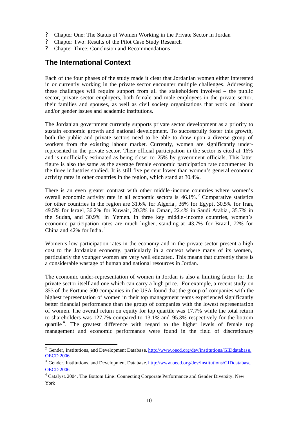- ? Chapter One: The Status of Women Working in the Private Sector in Jordan
- ? Chapter Two: Results of the Pilot Case Study Research
- ? Chapter Three: Conclusion and Recommendations

# **The International Context**

l

Each of the four phases of the study made it clear that Jordanian women either interested in or currently working in the private sector encounter multiple challenges. Addressing these challenges will require support from all the stakeholders involved – the public sector, private sector employers, both female and male employees in the private sector, their families and spouses, as well as civil society organizations that work on labour and/or gender issues and academic institutions.

The Jordanian government currently supports private sector development as a priority to sustain economic growth and national development. To successfully foster this growth, both the public and private sectors need to be able to draw upon a diverse group of workers from the existing labour market. Currently, women are significantly underrepresented in the private sector. Their official participation in the sector is cited at 16% and is unofficially estimated as being closer to 25% by government officials. This latter figure is also the same as the average female economic participation rate documented in the three industries studied. It is still five percent lower than women's general economic activity rates in other countries in the region, which stand at 30.4%.

There is an even greater contrast with other middle -income countries where women's overall economic activity rate in all economic sectors is 46.1%.<sup>2</sup> Comparative statistics for other countries in the region are 31.6% for Algeria , 36% for Egypt, 30.5% for Iran, 49.5% for Israel, 36.2% for Kuwait, 20.3% in Oman, 22.4% in Saudi Arabia , 35.7% in the Sudan, and 30.9% in Yemen. In three key middle -income countries, women's economic participation rates are much higher, standing at 43.7% for Brazil, 72% for China and 42% for India.<sup>3</sup>

Women's low participation rates in the economy and in the private sector present a high cost to the Jordanian economy, particularly in a context where many of its women, particularly the younger women are very well educated. This means that currently there is a considerable wastage of human and national resources in Jordan.

The economic under-representation of women in Jordan is also a limiting factor for the private sector itself and one which can carry a high price. For example, a recent study on 353 of the Fortune 500 companies in the USA found that the group of companies with the highest representation of women in their top management teams experienced significantly better financial performance than the group of companies with the lowest representation of women. The overall return on equity for top quartile was 17.7% while the total return to shareholders was 127.7% compared to 13.1% and 95.3% respectively for the bottom quartile<sup>4</sup>. The greatest difference with regard to the higher levels of female top management and economic performance were found in the field of discretionary

<sup>&</sup>lt;sup>2</sup> Gender, Institutions, and Development Database. http://www.oecd.org/dev/institutions/GIDdatabase. OECD 2006

<sup>&</sup>lt;sup>3</sup> Gender, Institutions, and Development Database. http://www.oecd.org/dev/institutions/GIDdatabase. **OECD 2006** 

<sup>&</sup>lt;sup>4</sup> Catalyst. 2004. The Bottom Line: Connecting Corporate Performance and Gender Diversity. New York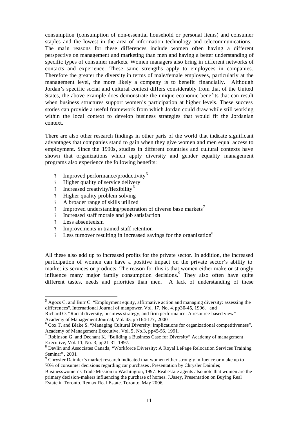consumption (consumption of non-essential household or personal items) and consumer staples and the lowest in the area of information technology and telecommunications. The main reasons for these differences include women often having a different perspective on management and marketing than men and having a better understanding of specific types of consumer markets. Women managers also bring in different networks of contacts and experience. These same strengths apply to employees in companies. Therefore the greater the diversity in terms of male/female employees, particularly at the management level, the more likely a company is to benefit financially. Although Jordan's specific social and cultural context differs considerably from that of the United States, the above example does demonstrate the unique economic benefits that can result when business structures support women's participation at higher levels. These success stories can provide a useful framework from which Jordan could draw while still working within the local context to develop business strategies that would fit the Jordanian context.

There are also other research findings in other parts of the world that indicate significant advantages that companies stand to gain when they give women and men equal access to employment. Since the 1990s, studies in different countries and cultural contexts have shown that organizations which apply diversity and gender equality management programs also experience the following benefits:

- Improved performance/productivity<sup>5</sup>
- ? Higher quality of service delivery
- ? Increased creativity/flexibility<sup>6</sup>
- ? Higher quality problem solving
- ? A broader range of skills utilized
- ? Improved understanding/penetration of diverse base markets<sup>7</sup>
- ? Increased staff morale and job satisfaction
- ? Less absenteeism

l

- ? Improvements in trained staff retention
- $\sum_{n=1}^{\infty}$  Less turnover resulting in increased savings for the organization<sup>8</sup>

All these also add up to increased profits for the private sector. In addition, the increased participation of women can have a positive impact on the private sector's ability to market its services or products. The reason for this is that women either make or strongly influence many major family consumption decisions.<sup>9</sup> They also often have quite different tastes, needs and priorities than men. A lack of understanding of these

 $<sup>5</sup>$  Agocs C. and Burr C. "Employment equity, affirmative action and managing diversity: assessing the</sup> differences". International Journal of manpower, Vol. 17, No. 4. pp30-45, 1996. and

Richard O. "Racial diversity, business strategy, and firm performance: A resource-based view" Academy of Management Journal, Vol. 43, pp164-177, 2000.

<sup>&</sup>lt;sup>6</sup> Cox T. and Blake S. "Managing Cultural Diversity: implications for organizational competitiveness". Academy of Management Executive, Vol. 5, No.3, pp45-56, 1991.

<sup>&</sup>lt;sup>7</sup> Robinson G. and Dechant K. "Building a Business Case for Diversity" Academy of management Executive, Vol. 11, No. 3, pp21-31, 1997.

<sup>8</sup> Devlin and Associates Canada, "Workforce Diversity: A Royal LePage Relocation Services Training Seminar" , 2001.

 $9^9$  Chrysler Daimler's market research indicated that women either strongly influence or make up to 70% of consumer decisions regarding car purchases. Presentation by Chrysler Daimler,

Businesswomen's Trade Mission to Washington, 1997. Real estate agents also note that women are the primary decision-makers influencing the purchase of homes. J.Jasey, Presentation on Buying Real Estate in Toronto. Remax Real Estate. Toronto. May 2006.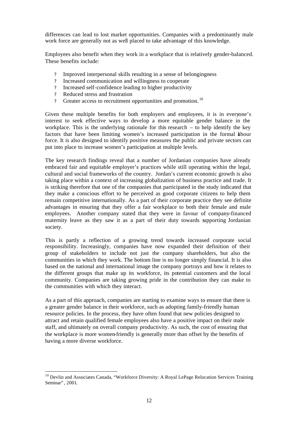differences can lead to lost market opportunities. Companies with a predominantly male work force are generally not as well placed to take advantage of this knowledge.

Employees also benefit when they work in a workplace that is relatively gender-balanced. These benefits include:

- ? Improved interpersonal skills resulting in a sense of belongingness
- ? Increased communication and willingness to cooperate
- ? Increased self-confidence leading to higher productivity
- ? Reduced stress and frustration

l

? Greater access to recruitment opportunities and promotion.<sup>10</sup>

Given these multiple benefits for both employers and employees, it is in everyone's interest to seek effective ways to develop a more equitable gender balance in the workplace. This is the underlying rationale for this research  $-$  to help identify the key factors that have been limiting women's increased participation in the formal abour force. It is also designed to identify positive measures the public and private sectors can put into place to increase women's participation at multiple levels.

The key research findings reveal that a number of Jordanian companies have already embraced fair and equitable employer's practices while still operating within the legal, cultural and social frameworks of the country. Jordan's current economic growth is also taking place within a context of increasing globalization of business practice and trade. It is striking therefore that one of the companies that participated in the study indicated that they make a conscious effort to be perceived as good corporate citizens to help them remain competitive internationally. As a part of their corporate practice they see definite advantages in ensuring that they offer a fair workplace to both their female and male employees. Another company stated that they were in favour of company-financed maternity leave as they saw it as a part of their duty towards supporting Jordanian society.

This is partly a reflection of a growing trend towards increased corporate social responsibility. Increasingly, companies have now expanded their definition of their group of stakeholders to include not just the company shareholders, but also the communities in which they work. The bottom line is no longer simply financial. It is also based on the national and international image the company portrays and how it relates to the different groups that make up its workforce, its potential customers and the local community. Companies are taking growing pride in the contribution they can make to the communities with which they interact.

As a part of this approach, companies are starting to examine ways to ensure that there is a greater gender balance in their workforce, such as adopting family-friendly human resource policies. In the process, they have often found that new policies designed to attract and retain qualified female employees also have a positive impact on their male staff, and ultimately on overall company productivity. As such, the cost of ensuring that the workplace is more women-friendly is generally more than offset by the benefits of having a more diverse workforce.

 $10$  Devlin and Associates Canada, "Workforce Diversity: A Royal LePage Relocation Services Training Seminar", 2001.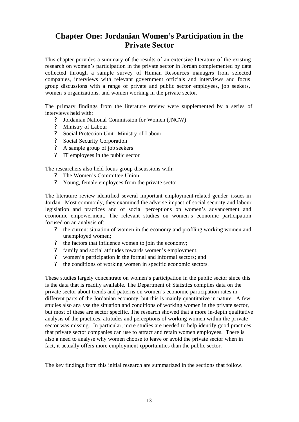# **Chapter One: Jordanian Women's Participation in the Private Sector**

This chapter provides a summary of the results of an extensive literature of the existing research on women's participation in the private sector in Jordan complemented by data collected through a sample survey of Human Resources managers from selected companies, interviews with relevant government officials and interviews and focus group discussions with a range of private and public sector employees, job seekers, women's organizations, and women working in the private sector.

The primary findings from the literature review were supplemented by a series of interviews held with:

- ? Jordanian National Commission for Women (JNCW)
- ? Ministry of Labour
- ? Social Protection Unit- Ministry of Labour
- ? Social Security Corporation
- ? A sample group of job seekers
- ? IT employees in the public sector

The researchers also held focus group discussions with:

- ? The Women's Committee Union
- ? Young, female employees from the private sector.

The literature review identified several important employment-related gender issues in Jordan. Most commonly, they examined the adverse impact of social security and labour legislation and practices and of social perceptions on women's advancement and economic empowerment. The relevant studies on women's economic participation focused on an analysis of:

- ? the current situation of women in the economy and profiling working women and unemployed women;
- ? the factors that influence women to join the economy;
- ? family and social attitudes towards women's employment;
- ? women's participation in the formal and informal sectors; and
- ? the conditions of working women in specific economic sectors.

These studies largely concentrate on women's participation in the public sector since this is the data that is readily available. The Department of Statistics compiles data on the private sector about trends and patterns on women's economic participation rates in different parts of the Jordanian economy, but this is mainly quantitative in nature. A few studies also analyse the situation and conditions of working women in the private sector, but most of these are sector specific. The research showed that a more in-depth qualitative analysis of the practices, attitudes and perceptions of working women within the private sector was missing. In particular, more studies are needed to help identify good practices that private sector companies can use to attract and retain women employees. There is also a need to analyse why women choose to leave or avoid the private sector when in fact, it actually offers more employment opportunities than the public sector.

The key findings from this initial research are summarized in the sections that follow.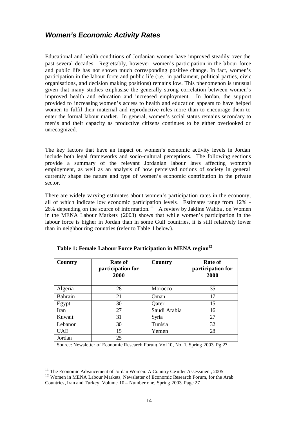# *Women's Economic Activity Rates*

Educational and health conditions of Jordanian women have improved steadily over the past several decades. Regrettably, however, women's participation in the labour force and public life has not shown much corresponding positive change. In fact, women's participation in the labour force and public life (i.e., in parliament, political parties, civic organisations, and decision making positions) remains low. This phenomenon is unusual given that many studies emphasise the generally strong correlation between women's improved health and education and increased employment. In Jordan, the support provided to increasing women's access to health and education appears to have helped women to fulfil their maternal and reproductive roles more than to encourage them to enter the formal labour market. In general, women's social status remains secondary to men's and their capacity as productive citizens continues to be either overlooked or unrecognized.

The key factors that have an impact on women's economic activity levels in Jordan include both legal frameworks and socio-cultural perceptions. The following sections provide a summary of the relevant Jordanian labour laws affecting women's employment, as well as an analysis of how perceived notions of society in general currently shape the nature and type of women's economic contribution in the private sector.

There are widely varying estimates about women's participation rates in the economy, all of which indicate low economic participation levels. Estimates range from 12% - 26% depending on the source of information.<sup>11</sup> A review by Jakline Wahba, on Women in the MENA Labour Markets (2003) shows that while women's participation in the labour force is higher in Jordan than in some Gulf countries, it is still relatively lower than in neighbouring countries (refer to Table 1 below).

| Country    | <b>Rate of</b><br>participation for<br>2000 | Country      | <b>Rate of</b><br>participation for<br>2000 |
|------------|---------------------------------------------|--------------|---------------------------------------------|
| Algeria    | 28                                          | Morocco      | 35                                          |
| Bahrain    | 21                                          | Oman         | 17                                          |
| Egypt      | 30                                          | Qater        | 15                                          |
| Iran       | 27                                          | Saudi Arabia | 16                                          |
| Kuwait     | 31                                          | Syria        | 27                                          |
| Lebanon    | 30                                          | Tunisia      | 32                                          |
| <b>UAE</b> | 15                                          | Yemen        | 28                                          |
| Jordan     | 25                                          |              |                                             |

|  |  | Table 1: Female Labour Force Participation in MENA region <sup>12</sup> |  |  |
|--|--|-------------------------------------------------------------------------|--|--|
|  |  |                                                                         |  |  |

Source: Newsletter of Economic Research Forum, Vol.10, No. 1, Spring 2003, Pg 27

<sup>&</sup>lt;sup>11</sup> The Economic Advancement of Jordan Women: A Country Ge nder Assessment, 2005

<sup>&</sup>lt;sup>12</sup> Women in MENA Labour Markets, Newsletter of Economic Research Forum, for the Arab Countries, Iran and Turkey. Volume 10 – Number one, Spring 2003, Page 27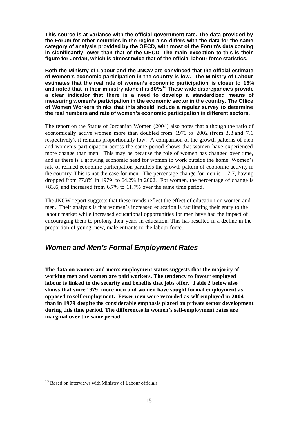**This source is at variance with the official government rate. The data provided by the Forum for other countries in the region also differs with the data for the same category of analysis provided by the OECD, with most of the Forum's data coming in significantly lower than that of the OECD. The main exception to this is their figure for Jordan, which is almost twice that of the official labour force statistics.** 

**Both the Ministry of Labour and the JNCW are convinced that the official estimate of women's economic participation in the country is low. The Ministry of Labour estimates that the real rate of women's economic participation is closer to 16% and noted that in their ministry alone it is 80%. <sup>13</sup> These wide discrepancies provide a clear indicator that there is a need to develop a standardized means of measuring women's participation in the economic sector in the country. The Office of Women Workers thinks that this should include a regular survey to determine the real numbers and rate of women's economic participation in different sectors.** 

The report on the Status of Jordanian Women (2004) also notes that although the ratio of economically active women more than doubled from 1979 to 2002 (from 3.3 and 7.1 respectively), it remains proportionally low. A comparison of the growth patterns of men and women's participation across the same period shows that women have experienced more change than men. This may be because the role of women has changed over time, and as there is a growing economic need for women to work outside the home. Women's rate of refined economic participation parallels the growth pattern of economic activity in the country. This is not the case for men. The percentage change for men is -17.7, having dropped from 77.8% in 1979, to 64.2% in 2002. For women, the percentage of change is +83.6, and increased from 6.7% to 11.7% over the same time period.

The JNCW report suggests that these trends reflect the effect of education on women and men. Their analysis is that women's increased education is facilitating their entry to the labour market while increased educational opportunities for men have had the impact of encouraging them to prolong their years in education. This has resulted in a decline in the proportion of young, new, male entrants to the labour force.

### *Women and Men's Formal Employment Rates*

**The data on women and men's employment status suggests that the majority of working men and women are paid workers. The tendency to favour employed labour is linked to the security and benefits that jobs offer. Table 2 below also shows that since 1979, more men and women have sought formal employment as opposed to self-employment. Fewer men were recorded as self-employed in 2004 than in 1979 despite the considerable emphasis placed on private sector development during this time period. The differences in women's self-employment rates are marginal over the same period.** 

<sup>&</sup>lt;sup>13</sup> Based on interviews with Ministry of Labour officials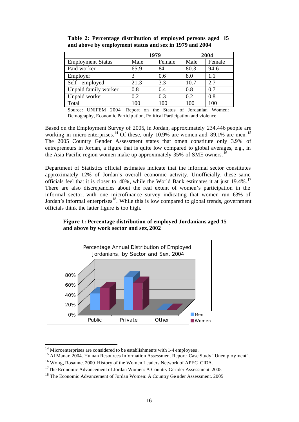|                          | 1979 |        |      | 2004   |
|--------------------------|------|--------|------|--------|
| <b>Employment Status</b> | Male | Female | Male | Female |
| Paid worker              | 65.9 | 84     | 80.3 | 94.6   |
| Employer                 |      | 0.6    | 8.0  | 1.1    |
| Self - employed          | 21.3 | 3.3    | 10.7 | 2.7    |
| Unpaid family worker     | 0.8  | 0.4    | 0.8  | 0.7    |
| Unpaid worker            | 0.2  | 0.3    | 0.2  | 0.8    |
| Total                    | 100  | 100    | 100  | 100    |

**Table 2: Percentage distribution of employed persons aged 15 and above by employment status and sex in 1979 and 2004**

Source: UNIFEM 2004: Report on the Status of Jordanian Women: Demography, Economic Participation, Political Participation and violence

Based on the Employment Survey of 2005, in Jordan, approximately 234,446 people are working in micro-enterprises.<sup>14</sup> Of these, only 10.9% are women and 89.1% are men.<sup>15</sup> The 2005 Country Gender Assessment states that omen constitute only 3.9% of entrepreneurs in Jordan, a figure that is quite low compared to global averages, e.g., in the Asia Pacific region women make up approximately  $35\%$  of SME owners.<sup>16</sup>

Department of Statistics official estimates indicate that the informal sector constitutes approximately 12% of Jordan's overall economic activity. Unofficially, these same officials feel that it is closer to 40%, while the World Bank estimates it at just 19.4%.<sup>17</sup> There are also discrepancies about the real extent of women's participation in the informal sector, with one microfinance survey indicating that women run 63% of Jordan's informal enterprises<sup>18</sup>. While this is low compared to global trends, government officials think the latter figure is too high.

**Figure 1: Percentage distribution of employed Jordanians aged 15 and above by work sector and sex, 2002**



 $14$  Microenterprises are considered to be establishments with 1-4 employees.

<sup>&</sup>lt;sup>15</sup> Al Manar. 2004. Human Resources Information Assessment Report: Case Study "Unemployment".

<sup>16</sup> Wong, Rosanne. 2000. History of the Women Leaders Network of APEC. CIDA.

<sup>&</sup>lt;sup>17</sup>The Economic Advancement of Jordan Women: A Country Ge nder Assessment. 2005

<sup>&</sup>lt;sup>18</sup> The Economic Advancement of Jordan Women: A Country Gender Assessment. 2005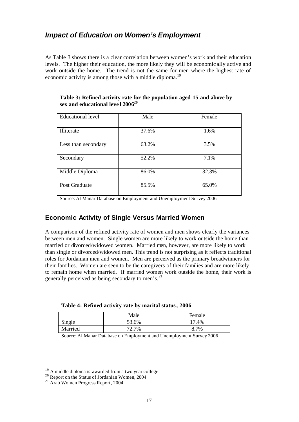### *Impact of Education on Women's Employment*

As Table 3 shows there is a clear correlation between women's work and their education levels. The higher their education, the more likely they will be economic ally active and work outside the home. The trend is not the same for men where the highest rate of economic activity is among those with a middle diploma.<sup>19</sup>

| <b>Educational level</b> | Male  | Female |
|--------------------------|-------|--------|
| Illiterate               | 37.6% | 1.6%   |
| Less than secondary      | 63.2% | 3.5%   |
| Secondary                | 52.2% | 7.1%   |
| Middle Diploma           | 86.0% | 32.3%  |
| Post Graduate            | 85.5% | 65.0%  |

**Table 3: Refined activity rate for the population aged 15 and above by sex and educational leve l 2006 20**

Source: Al Manar Database on Employment and Unemployment Survey 2006

#### **Economic Activity of Single Versus Married Women**

A comparison of the refined activity rate of women and men shows clearly the variances between men and women. Single women are more likely to work outside the home than married or divorced/widowed women. Married men, however, are more likely to work than single or divorced/widowed men. This trend is not surprising as it reflects traditional roles for Jordanian men and women. Men are perceived as the primary breadwinners for their families. Women are seen to be the caregivers of their families and are more likely to remain home when married. If married women work outside the home, their work is generally perceived as being secondary to men's.<sup>21</sup>

**Table 4: Refined activity rate by marital status, 2006**

|         | Male  | Female |
|---------|-------|--------|
| Single  | 53.6% | 17.4%  |
| Married | 72.7% | 8.7%   |

Source: Al Manar Database on Employment and Unemployment Survey 2006

 $19$  A middle diploma is awarded from a two year college

<sup>&</sup>lt;sup>20</sup> Report on the Status of Jordanian Women, 2004

<sup>21</sup> Arab Women Progress Report, 2004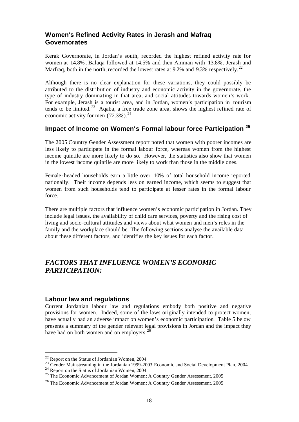### **Women's Refined Activity Rates in Jerash and Mafraq Governorates**

Kerak Governorate, in Jordan's south, recorded the highest refined activity rate for women at 14.8%, Balaqa followed at 14.5% and then Amman with 13.8%. Jerash and Marfraq, both in the north, recorded the lowest rates at 9.2% and 9.3% respectively.<sup>22</sup>

Although there is no clear explanation for these variations, they could possibly be attributed to the distribution of industry and economic activity in the governorate, the type of industry dominating in that area, and social attitudes towards women's work. For example, Jerash is a tourist area, and in Jordan, women's participation in tourism tends to be limited.<sup>23</sup> Aqaba, a free trade zone area, shows the highest refined rate of economic activity for men  $(72.3\%)$ .<sup>24</sup>

### **Impact of Income on Women's Formal labour force Participation <sup>25</sup>**

The 2005 Country Gender Assessment report noted that women with poorer incomes are less likely to participate in the formal labour force, whereas women from the highest income quintile are more likely to do so. However, the statistics also show that women in the lowest income quintile are more likely to work than those in the middle ones.

Female-headed households earn a little over 10% of total household income reported nationally. Their income depends less on earned income, which seems to suggest that women from such households tend to partic ipate at lesser rates in the formal labour force.

There are multiple factors that influence women's economic participation in Jordan. They include legal issues, the availability of child care services, poverty and the rising cost of living and socio-cultural attitudes and views about what women and men's roles in the family and the workplace should be. The following sections analyse the available data about these different factors, and identifies the key issues for each factor.

# *FACTORS THAT INFLUENCE WOMEN'S ECONOMIC PARTICIPATION:*

#### **Labour law and regulations**

Current Jordanian labour law and regulations embody both positive and negative provisions for women. Indeed, some of the laws originally intended to protect women, have actually had an adverse impact on women's economic participation. Table 5 below presents a summary of the gender relevant legal provisions in Jordan and the impact they have had on both women and on employers.<sup>2</sup>

<sup>&</sup>lt;sup>22</sup> Report on the Status of Jordanian Women, 2004

<sup>&</sup>lt;sup>23</sup> Gender Mainstreaming in the Jordanian 1999-2003 Economic and Social Development Plan, 2004

<sup>&</sup>lt;sup>24</sup> Report on the Status of Jordanian Women, 2004

<sup>&</sup>lt;sup>25</sup> The Economic Advancement of Jordan Women: A Country Gender Assessment, 2005

<sup>&</sup>lt;sup>26</sup> The Economic Advancement of Jordan Women: A Country Gender Assessment. 2005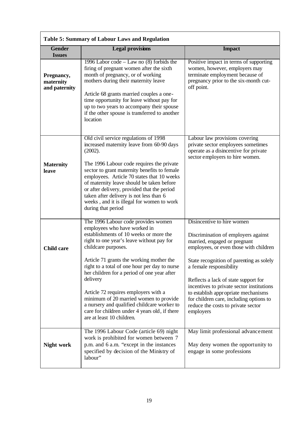| Table 5: Summary of Labour Laws and Regulation |                                                                                                                                                                                                                                                                                                                                                                                                                                                                                                                                                          |                                                                                                                                                                                                                                                                                                                                                                                                                                              |  |  |  |
|------------------------------------------------|----------------------------------------------------------------------------------------------------------------------------------------------------------------------------------------------------------------------------------------------------------------------------------------------------------------------------------------------------------------------------------------------------------------------------------------------------------------------------------------------------------------------------------------------------------|----------------------------------------------------------------------------------------------------------------------------------------------------------------------------------------------------------------------------------------------------------------------------------------------------------------------------------------------------------------------------------------------------------------------------------------------|--|--|--|
| <b>Gender</b><br><b>Issues</b>                 | <b>Legal provisions</b>                                                                                                                                                                                                                                                                                                                                                                                                                                                                                                                                  | <b>Impact</b>                                                                                                                                                                                                                                                                                                                                                                                                                                |  |  |  |
| Pregnancy,<br>maternity<br>and paternity       | 1996 Labor code – Law no $(8)$ forbids the<br>firing of pregnant women after the sixth<br>month of pregnancy, or of working<br>mothers during their maternity leave<br>Article 68 grants married couples a one-<br>time opportunity for leave without pay for<br>up to two years to accompany their spouse<br>if the other spouse is transferred to another<br>location                                                                                                                                                                                  | Positive impact in terms of supporting<br>women, however, employers may<br>terminate employment because of<br>pregnancy prior to the six-month cut-<br>off point.                                                                                                                                                                                                                                                                            |  |  |  |
| <b>Maternity</b><br>leave                      | Old civil service regulations of 1998<br>increased maternity leave from 60-90 days<br>(2002).<br>The 1996 Labour code requires the private<br>sector to grant maternity benefits to female<br>employees. Article 70 states that 10 weeks<br>of maternity leave should be taken before<br>or after delivery, provided that the period<br>taken after delivery is not less than 6<br>weeks, and it is illegal for women to work<br>during that period                                                                                                      | Labour law provisions covering<br>private sector employees sometimes<br>operate as a disincentive for private<br>sector employers to hire women.                                                                                                                                                                                                                                                                                             |  |  |  |
| <b>Child care</b>                              | The 1996 Labour code provides women<br>employees who have worked in<br>establishments of 10 weeks or more the<br>right to one year's leave without pay for<br>childcare purposes.<br>Article 71 grants the working mother the<br>right to a total of one hour per day to nurse<br>her children for a period of one year after<br>delivery<br>Article 72 requires employers with a<br>minimum of 20 married women to provide<br>a nursery and qualified childcare worker to<br>care for children under 4 years old, if there<br>are at least 10 children. | Disincentive to hire women<br>Discrimination of employers against<br>married, engaged or pregnant<br>employees, or even those with children<br>State recognition of parenting as solely<br>a female responsibility<br>Reflects a lack of state support for<br>incentives to private sector institutions<br>to establish appropriate mechanisms<br>for children care, including options to<br>reduce the costs to private sector<br>employers |  |  |  |
| Night work                                     | The 1996 Labour Code (article 69) night<br>work is prohibited for women between 7<br>p.m. and 6 a.m. "except in the instances"<br>specified by decision of the Ministry of<br>labour"                                                                                                                                                                                                                                                                                                                                                                    | May limit professional advancement<br>May deny women the opportunity to<br>engage in some professions                                                                                                                                                                                                                                                                                                                                        |  |  |  |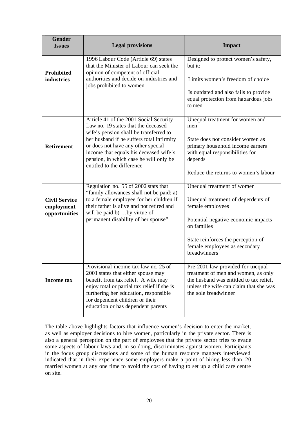| <b>Gender</b><br><b>Issues</b>                      | <b>Legal provisions</b>                                                                                                                                                                                                                                                                                                      | <b>Impact</b>                                                                                                                                                                                                                     |  |  |
|-----------------------------------------------------|------------------------------------------------------------------------------------------------------------------------------------------------------------------------------------------------------------------------------------------------------------------------------------------------------------------------------|-----------------------------------------------------------------------------------------------------------------------------------------------------------------------------------------------------------------------------------|--|--|
| <b>Prohibited</b><br>industries                     | 1996 Labour Code (Article 69) states<br>that the Minister of Labour can seek the<br>opinion of competent of official<br>authorities and decide on industries and<br>jobs prohibited to women                                                                                                                                 | Designed to protect women's safety,<br>but it:<br>Limits women's freedom of choice<br>Is outdated and also fails to provide<br>equal protection from hazardous jobs<br>to men                                                     |  |  |
| <b>Retirement</b>                                   | Article 41 of the 2001 Social Security<br>Law no. 19 states that the deceased<br>wife's pension shall be transferred to<br>her husband if he suffers total infirmity<br>or does not have any other special<br>income that equals his deceased wife's<br>pension, in which case he will only be<br>entitled to the difference | Unequal treatment for women and<br>men<br>State does not consider women as<br>primary household income earners<br>with equal responsibilities for<br>depends<br>Reduce the returns to women's labour                              |  |  |
| <b>Civil Service</b><br>employment<br>opportunities | Regulation no. 55 of 2002 stats that<br>"family allowances shall not be paid: a)<br>to a female employee for her children if<br>their father is alive and not retired and<br>will be paid b) by virtue of<br>permanent disability of her spouse"                                                                             | Unequal treatment of women<br>Unequal treatment of dependents of<br>female employees<br>Potential negative economic impacts<br>on families<br>State reinforces the perception of<br>female employees as secondary<br>breadwinners |  |  |
| <b>Income tax</b>                                   | Provisional income tax law no. 25 of<br>2001 states that either spouse may<br>benefit from tax relief. A wife may<br>enjoy total or partial tax relief if she is<br>furthering her education, responsible<br>for dependent children or their<br>education or has dependent parents                                           | Pre-2001 law provided for unequal<br>treatment of men and women, as only<br>the husband was entitled to tax relief,<br>unless the wife can claim that she was<br>the sole breadwinner                                             |  |  |

The table above highlights factors that influence women's decision to enter the market, as well as employer decisions to hire women, particularly in the private sector. There is also a general perception on the part of employees that the private sector tries to evade some aspects of labour laws and, in so doing, discriminates against women. Participants in the focus group discussions and some of the human resource mangers interviewed indicated that in their experience some employers make a point of hiring less than 20 married women at any one time to avoid the cost of having to set up a child care centre on site.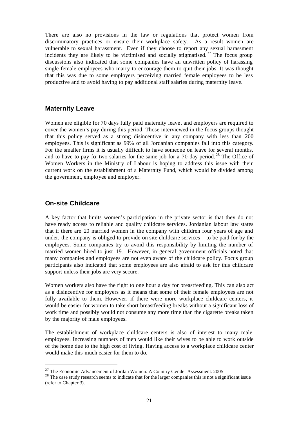There are also no provisions in the law or regulations that protect women from discriminatory practices or ensure their workplace safety. As a result women are vulnerable to sexual harassment. Even if they choose to report any sexual harassment incidents they are likely to be victimised and socially stigmatised.<sup>27</sup> The focus group discussions also indicated that some companies have an unwritten policy of harassing single female employees who marry to encourage them to quit their jobs. It was thought that this was due to some employers perceiving married female employees to be less productive and to avoid having to pay additional staff salaries during maternity leave.

#### **Maternity Leave**

Women are eligible for 70 days fully paid maternity leave, and employers are required to cover the women's pay during this period. Those interviewed in the focus groups thought that this policy served as a strong disincentive in any company with less than 200 employees. This is significant as 99% of all Jordanian companies fall into this category. For the smaller firms it is usually difficult to have someone on leave for several months, and to have to pay for two salaries for the same job for a  $70$ -day period.<sup>28</sup> The Office of Women Workers in the Ministry of Labour is hoping to address this issue with their current work on the establishment of a Maternity Fund, which would be divided among the government, employee and employer.

#### **On-site Childcare**

l

A key factor that limits women's participation in the private sector is that they do not have ready access to reliable and quality childcare services. Jordanian labour law states that if there are 20 married women in the company with children four years of age and under, the company is obliged to provide on-site childcare services – to be paid for by the employees. Some companies try to avoid this responsibility by limiting the number of married women hired to just 19. However, in general government officials noted that many companies and employees are not even aware of the childcare policy. Focus group participants also indicated that some employees are also afraid to ask for this childcare support unless their jobs are very secure.

Women workers also have the right to one hour a day for breastfeeding. This can also act as a disincentive for employers as it means that some of their female employees are not fully available to them. However, if there were more workplace childcare centers, it would be easier for women to take short breastfeeding breaks without a significant loss of work time and possibly would not consume any more time than the cigarette breaks taken by the majority of male employees.

The establishment of workplace childcare centers is also of interest to many male employees. Increasing numbers of men would like their wives to be able to work outside of the home due to the high cost of living. Having access to a workplace childcare center would make this much easier for them to do.

<sup>&</sup>lt;sup>27</sup> The Economic Advancement of Jordan Women: A Country Gender Assessment. 2005

<sup>&</sup>lt;sup>28</sup> The case study research seems to indicate that for the larger companies this is not a significant issue (refer to Chapter 3).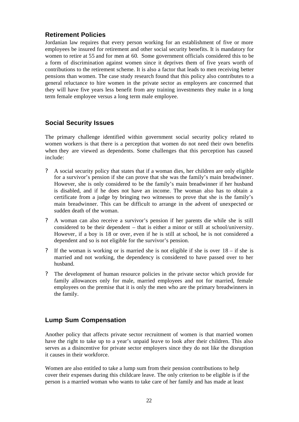### **Retirement Policies**

Jordanian law requires that every person working for an establishment of five or more employees be insured for retirement and other social security benefits. It is mandatory for women to retire at 55 and for men at 60. Some government officials considered this to be a form of discrimination against women since it deprives them of five years worth of contributions to the retirement scheme. It is also a factor that leads to men receiving better pensions than women. The case study research found that this policy also contributes to a general reluctance to hire women in the private sector as employers are concerned that they will have five years less benefit from any training investments they make in a long term female employee versus a long term male employee.

### **Social Security Issues**

The primary challenge identified within government social security policy related to women workers is that there is a perception that women do not need their own benefits when they are viewed as dependents. Some challenges that this perception has caused include:

- ? A social security policy that states that if a woman dies, her children are only eligible for a survivor's pension if she can prove that she was the family's main breadwinner. However, she is only considered to be the family's main breadwinner if her husband is disabled, and if he does not have an income. The woman also has to obtain a certificate from a judge by bringing two witnesses to prove that she is the family's main breadwinner. This can be difficult to arrange in the advent of unexpected or sudden death of the woman.
- ? A woman can also receive a survivor's pension if her parents die while she is still considered to be their dependent – that is either a minor or still at school/university. However, if a boy is 18 or over, even if he is still at school, he is not considered a dependent and so is not eligible for the survivor's pension.
- ? If the woman is working or is married she is not eligible if she is over 18 if she is married and not working, the dependency is considered to have passed over to her husband.
- ? The development of human resource policies in the private sector which provide for family allowances only for male, married employees and not for married, female employees on the premise that it is only the men who are the primary breadwinners in the family.

### **Lump Sum Compensation**

Another policy that affects private sector recruitment of women is that married women have the right to take up to a year's unpaid leave to look after their children. This also serves as a disincentive for private sector employers since they do not like the disruption it causes in their workforce.

Women are also entitled to take a lump sum from their pension contributions to help cover their expenses during this childcare leave. The only criterion to be eligible is if the person is a married woman who wants to take care of her family and has made at least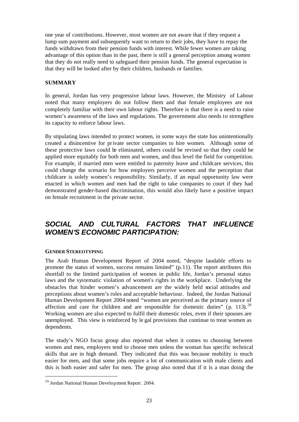one year of contributions. However, most women are not aware that if they request a lump sum payment and subsequently want to return to their jobs, they have to repay the funds withdrawn from their pension funds with interest. While fewer women are taking advantage of this option than in the past, there is still a general perception among women that they do not really need to safeguard their pension funds. The general expectation is that they will be looked after by their children, husbands or families.

#### **SUMMARY**

In general, Jordan has very progressive labour laws. However, the Ministry of Labour noted that many employers do not follow them and that female employees are not completely familiar with their own labour rights. Therefore is that there is a need to raise women's awareness of the laws and regulations. The government also needs to strengthen its capacity to enforce labour laws.

By stipulating laws intended to protect women, in some ways the state has unintentionally created a disincentive for private sector companies to hire women. Although some of these protective laws could be eliminated, others could be revised so that they could be applied more equitably for both men and women, and thus level the field for competition. For example, if married men were entitled to paternity leave and childcare services, this could change the scenario for how employers perceive women and the perception that childcare is solely women's responsibility. Similarly, if an equal opportunity law were enacted in which women and men had the right to take companies to court if they had demonstrated gender-based discrimination, this would also likely have a positive impact on female recruitment in the private sector.

# *SOCIAL AND CULTURAL FACTORS THAT INFLUENCE WOMEN'S ECONOMIC PARTICIPATION:*

#### **GENDER STEREOTYPING**

l

The Arab Human Development Report of 2004 noted, "despite laudable efforts to promote the status of women, success remains limited" (p.11). The report attributes this shortfall to the limited participation of women in public life, Jordan's personal status laws and the systematic violation of women's rights in the workplace. Underlying the obstacles that hinder women's advancement are the widely held social attitudes and perceptions about women's roles and acceptable behaviour. Indeed, the Jordan National Human Development Report 2004 noted "women are perceived as the primary source of affection and care for children and are responsible for domestic duties" (p. 113).<sup>29</sup> Working women are also expected to fulfil their domestic roles, even if their spouses are unemployed. This view is reinforced by le gal provisions that continue to treat women as dependents.

The study's NGO focus group also reported that when it comes to choosing between women and men, employers tend to choose men unless the woman has specific technical skills that are in high demand. They indicated that this was because mobility is much easier for men, and that some jobs require a lot of communication with male clients and this is both easier and safer for men. The group also noted that if it is a man doing the

<sup>29</sup> Jordan National Human Development Report. 2004.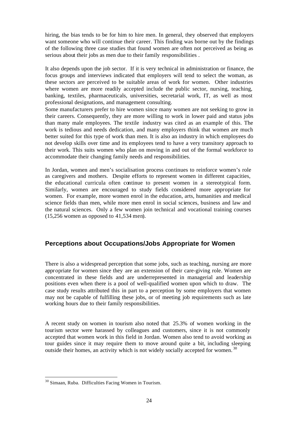hiring, the bias tends to be for him to hire men. In general, they observed that employers want someone who will continue their career. This finding was borne out by the findings of the following three case studies that found women are often not perceived as being as serious about their jobs as men due to their family responsibilities .

It also depends upon the job sector. If it is very technical in administration or finance, the focus groups and interviews indicated that employers will tend to select the woman, as these sectors are perceived to be suitable areas of work for women. Other industries where women are more readily accepted include the public sector, nursing, teaching, banking, textiles, pharmaceuticals, universities, secretarial work, IT, as well as most professional designations, and management consulting.

Some manufacturers prefer to hire women since many women are not seeking to grow in their careers. Consequently, they are more willing to work in lower paid and status jobs than many male employees. The textile industry was cited as an example of this. The work is tedious and needs dedication, and many employers think that women are much better suited for this type of work than men. It is also an industry in which employees do not develop skills over time and its employees tend to have a very transitory approach to their work. This suits women who plan on moving in and out of the formal workforce to accommodate their changing family needs and responsibilities.

In Jordan, women and men's socialisation process continues to reinforce women's role as caregivers and mothers. Despite efforts to represent women in different capacities, the educational curricula often continue to present women in a stereotypical form. Similarly, women are encouraged to study fields considered more appropriate for women. For example, more women enrol in the education, arts, humanities and medical science fields than men, while more men enrol in social sciences, business and law and the natural sciences. Only a few women join technical and vocational training courses (15,256 women as opposed to 41,534 men).

### **Perceptions about Occupations/Jobs Appropriate for Women**

There is also a widespread perception that some jobs, such as teaching, nursing are more appropriate for women since they are an extension of their care-giving role. Women are concentrated in these fields and are underrepresented in managerial and leadership positions even when there is a pool of well-qualified women upon which to draw. The case study results attributed this in part to a perception by some employers that women may not be capable of fulfilling these jobs, or of meeting job requirements such as late working hours due to their family responsibilities.

A recent study on women in tourism also noted that 25.3% of women working in the tourism sector were harassed by colleagues and customers, since it is not commonly accepted that women work in this field in Jordan. Women also tend to avoid working as tour guides since it may require them to move around quite a bit, including sleeping outside their homes, an activity which is not widely socially accepted for women.<sup>30</sup>

<sup>30</sup> Simaan, Ruba. Difficulties Facing Women in Tourism.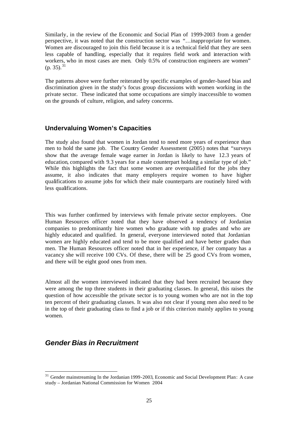Similarly, in the review of the Economic and Social Plan of 1999-2003 from a gender perspective, it was noted that the construction sector was "…inappropriate for women. Women are discouraged to join this field because it is a technical field that they are seen less capable of handling, especially that it requires field work and interaction with workers, who in most cases are men. Only 0.5% of construction engineers are women"  $(p. 35).^{31}$ 

The patterns above were further reiterated by specific examples of gender-based bias and discrimination given in the study's focus group discussions with women working in the private sector. These indicated that some occupations are simply inaccessible to women on the grounds of culture, religion, and safety concerns.

#### **Undervaluing Women's Capacities**

The study also found that women in Jordan tend to need more years of experience than men to hold the same job. The Country Gender Assessment (2005) notes that "surveys show that the average female wage earner in Jordan is likely to have 12.3 years of education, compared with 9.3 years for a male counterpart holding a similar type of job." While this highlights the fact that some women are overqualified for the jobs they assume, it also indicates that many employers require women to have higher qualifications to assume jobs for which their male counterparts are routinely hired with less qualifications.

This was further confirmed by interviews with female private sector employees. One Human Resources officer noted that they have observed a tendency of Jordanian companies to predominantly hire women who graduate with top grades and who are highly educated and qualified. In general, everyone interviewed noted that Jordanian women are highly educated and tend to be more qualified and have better grades than men. The Human Resources officer noted that in her experience, if her company has a vacancy she will receive 100 CVs. Of these, there will be 25 good CVs from women, and there will be eight good ones from men.

Almost all the women interviewed indicated that they had been recruited because they were among the top three students in their graduating classes. In general, this raises the question of how accessible the private sector is to young women who are not in the top ten percent of their graduating classes. It was also not clear if young men also need to be in the top of their graduating class to find a job or if this criterion mainly applies to young women.

# *Gender Bias in Recruitment*

<sup>&</sup>lt;sup>31</sup> Gender mainstreaming In the Jordanian 1999-2003, Economic and Social Development Plan: A case study – Jordanian National Commission for Women 2004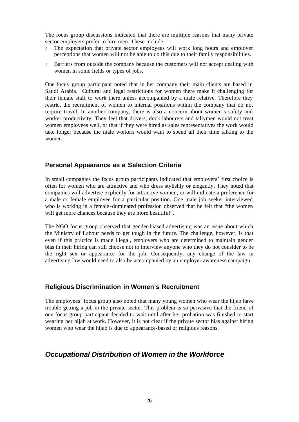The focus group discussions indicated that there are multiple reasons that many private sector employers prefer to hire men. These include:

- ? The expectation that private sector employees will work long hours and employer perceptions that women will not be able to do this due to their family responsibilities.
- ? Barriers from outside the company because the customers will not accept dealing with women in some fields or types of jobs.

One focus group participant noted that in her company their main clients are based in Saudi Arabia. Cultural and legal restrictions for women there make it challenging for their female staff to work there unless accompanied by a male relative. Therefore they restrict the recruitment of women to internal positions within the company that do not require travel. In another company, there is also a concern about women's safety and worker productivity. They feel that drivers, dock labourers and tallymen would not treat women employees well, or that if they were hired as sales representatives the work would take longer because the male workers would want to spend all their time talking to the women.

#### **Personal Appearance as a Selection Criteria**

In small companies the focus group participants indicated that employers' first choice is often for women who are attractive and who dress stylishly or elegantly. They noted that companies will advertise explicitly for attractive women, or will indicate a preference for a male or female employee for a particular position. One male job seeker interviewed who is working in a female-dominated profession observed that he felt that "the women will get more chances because they are more beautiful".

The NGO focus group observed that gender-biased advertising was an issue about which the Ministry of Labour needs to get tough in the future. The challenge, however, is that even if this practice is made illegal, employers who are determined to maintain gender bias in their hiring can still choose not to interview anyone who they do not consider to be the right sex or appearance for the job. Consequently, any change of the law in advertising law would need to also be accompanied by an employer awareness campaign.

#### **Religious Discrimination in Women's Recruitment**

The employees' focus group also noted that many young women who wear the hijab have trouble getting a job in the private sector. This problem is so pervasive that the friend of one focus group participant decided to wait until after her probation was finished to start wearing her hijab at work. However, it is not clear if the private sector bias against hiring women who wear the hijab is due to appearance-based or religious reasons.

### *Occupational Distribution of Women in the Workforce*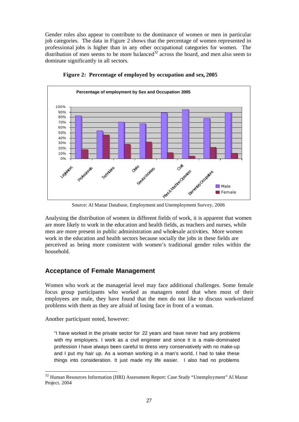Gender roles also appear to contribute to the dominance of women or men in particular job categories. The data in Figure 2 shows that the percentage of women represented in professional jobs is higher than in any other occupational categories for women. The distribution of men seems to be more balanced<sup>32</sup> across the board, and men also seem to dominate significantly in all sectors.



**Figure 2: Percentage of employed by occupation and sex, 2005**

Source: Al Manar Database, Employment and Unemployment Survey, 2006

Analysing the distribution of women in different fields of work, it is apparent that women are more likely to work in the education and health fields, as teachers and nurses, while men are more present in public administration and wholesale activities. More women work in the education and health sectors because socially the jobs in these fields are perceived as being more consistent with women's traditional gender roles within the household.

#### **Acceptance of Female Management**

Women who work at the managerial level may face additional challenges. Some female focus group participants who worked as managers noted that when most of their employees are male, they have found that the men do not like to discuss work-related problems with them as they are afraid of losing face in front of a woman.

Another participant noted, however:

l

"I have worked in the private sector for 22 years and have never had any problems with my employers. I work as a civil engineer and since it is a male-dominated profession I have always been careful to dress very conservatively with no make-up and I put my hair up. As a woman working in a man's world, I had to take these things into consideration. It just made my life easier. I also had no problems

<sup>32</sup> Human Resources Information (HRI) Assessment Report: Case Study "Unemployment" Al Manar Project. 2004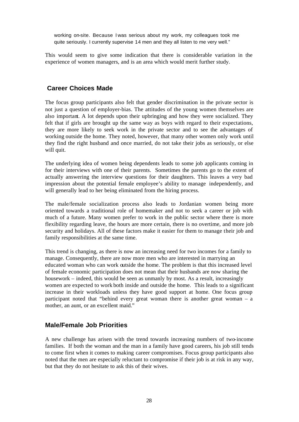working on-site. Because I was serious about my work, my colleagues took me quite seriously. I currently supervise 14 men and they all listen to me very well."

This would seem to give some indication that there is considerable variation in the experience of women managers, and is an area which would merit further study.

#### **Career Choices Made**

The focus group participants also felt that gender discrimination in the private sector is not just a question of employer-bias. The attitudes of the young women themselves are also important. A lot depends upon their upbringing and how they were socialized. They felt that if girls are brought up the same way as boys with regard to their expectations, they are more likely to seek work in the private sector and to see the advantages of working outside the home. They noted, however, that many other women only work until they find the right husband and once married, do not take their jobs as seriously, or else will quit.

The underlying idea of women being dependents leads to some job applicants coming in for their interviews with one of their parents. Sometimes the parents go to the extent of actually answering the interview questions for their daughters. This leaves a very bad impression about the potential female employee's ability to manage independently, and will generally lead to her being eliminated from the hiring process.

The male/female socialization process also leads to Jordanian women being more oriented towards a traditional role of homemaker and not to seek a career or job with much of a future. Many women prefer to work in the public sector where there is more flexibility regarding leave, the hours are more certain, there is no overtime, and more job security and holidays. All of these factors make it easier for them to manage their job and family responsibilities at the same time.

This trend is changing, as there is now an increasing need for two incomes for a family to manage. Consequently, there are now more men who are interested in marrying an educated woman who can work outside the home. The problem is that this increased level of female economic participation does not mean that their husbands are now sharing the housework – indeed, this would be seen as unmanly by most. As a result, increasingly women are expected to work both inside and outside the home. This leads to a significant increase in their workloads unless they have good support at home. One focus group participant noted that "behind every great woman there is another great woman – a mother, an aunt, or an excellent maid."

#### **Male/Female Job Priorities**

A new challenge has arisen with the trend towards increasing numbers of two-income families. If both the woman and the man in a family have good careers, his job still tends to come first when it comes to making career compromises. Focus group participants also noted that the men are especially reluctant to compromise if their job is at risk in any way, but that they do not hesitate to ask this of their wives.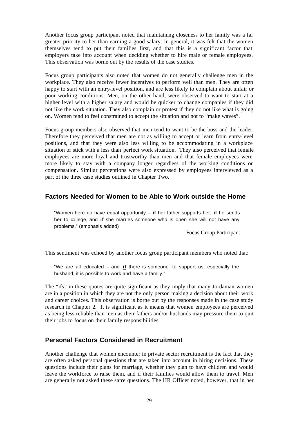Another focus group participant noted that maintaining closeness to her family was a far greater priority to her than earning a good salary. In general, it was felt that the women themselves tend to put their families first, and that this is a significant factor that employers take into account when deciding whether to hire male or female employees. This observation was borne out by the results of the case studies.

Focus group participants also noted that women do not generally challenge men in the workplace. They also receive fewer incentives to perform well than men. They are often happy to start with an entry-level position, and are less likely to complain about unfair or poor working conditions. Men, on the other hand, were observed to want to start at a higher level with a higher salary and would be quicker to change companies if they did not like the work situation. They also complain or protest if they do not like what is going on. Women tend to feel constrained to accept the situation and not to "make waves".

Focus group members also observed that men tend to want to be the boss and the leader. Therefore they perceived that men are not as willing to accept or learn from entry-level positions, and that they were also less willing to be accommodating in a workplace situation or stick with a less than perfect work situation. They also perceived that female employees are more loyal and trustworthy than men and that female employees were more likely to stay with a company longer regardless of the working conditions or compensation**.** Similar perceptions were also expressed by employees interviewed as a part of the three case studies outlined in Chapter Two.

#### **Factors Needed for Women to be Able to Work outside the Home**

"Women here do have equal opportunity – **if** her father supports her, **if** he sends her to college, and **if** she marries someone who is open she will not have any problems." (emphasis added)

Focus Group Participant

This sentiment was echoed by another focus group participant members who noted that:

"We are all educated – and **if** there is someone to support us, especially the husband, it is possible to work and have a family."

The "ifs" in these quotes are quite significant as they imply that many Jordanian women are in a position in which they are not the only person making a decision about their work and career choices. This observation is borne out by the responses made in the case study research in Chapter 2. It is significant as it means that women employees are perceived as being less reliable than men as their fathers and/or husbands may pressure them to quit their jobs to focus on their family responsibilities.

#### **Personal Factors Considered in Recruitment**

Another challenge that women encounter in private sector recruitment is the fact that they are often asked personal questions that are taken into account in hiring decisions. These questions include their plans for marriage, whether they plan to have children and would leave the workforce to raise them, and if their families would allow them to travel. Men are generally not asked these same questions. The HR Officer noted, however, that in her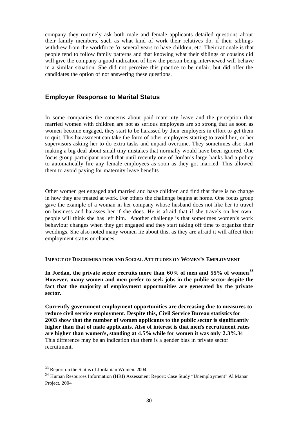company they routinely ask both male and female applicants detailed questions about their family members, such as what kind of work their relatives do, if their siblings withdrew from the workforce for several years to have children, etc. Their rationale is that people tend to follow family patterns and that knowing what their siblings or cousins did will give the company a good indication of how the person being interviewed will behave in a similar situation. She did not perceive this practice to be unfair, but did offer the candidates the option of not answering these questions.

#### **Employer Response to Marital Status**

In some companies the concerns about paid maternity leave and the perception that married women with children are not as serious employees are so strong that as soon as women become engaged, they start to be harassed by their employers in effort to get them to quit. This harassment can take the form of other employees starting to avoid her, or her supervisors asking her to do extra tasks and unpaid overtime. They sometimes also start making a big deal about small tiny mistakes that normally would have been ignored. One focus group participant noted that until recently one of Jordan's large banks had a policy to automatically fire any female employees as soon as they got married. This allowed them to avoid paying for maternity leave benefits

Other women get engaged and married and have children and find that there is no change in how they are treated at work. For others the challenge begins at home. One focus group gave the example of a woman in her company whose husband does not like her to travel on business and harasses her if she does. He is afraid that if she travels on her own, people will think she has left him. Another challenge is that sometimes women's work behaviour changes when they get engaged and they start taking off time to organize their weddings. She also noted many women lie about this, as they are afraid it will affect their employment status or chances.

#### **IMPACT OF DISCRIMINATION AND SOCIAL ATTITUDES ON WOMEN'S EMPLOYMENT**

In Jordan, the private sector recruits more than  $60\%$  of men and  $55\%$  of women.<sup>33</sup> **However, many women and men prefer to seek jobs in the public sector despite the fact that the majority of employment opportunities are generated by the private sector.** 

**Currently government employment opportunities are decreasing due to measures to reduce civil service employment. Despite this, Civil Service Bureau statistics for 2003 show that the number of women applicants to the public sector is significantly higher than that of male applicants. Also of interest is that men's recruitment rates are higher than women's, standing at 4.5% while for women it was only 2.3%.**34 This difference may be an indication that there is a gender bias in private sector recruitment.

<sup>33</sup> Report on the Status of Jordanian Women. 2004

<sup>34</sup> Human Resources Information (HRI) Assessment Report: Case Study "Unemployment" Al Manar Project. 2004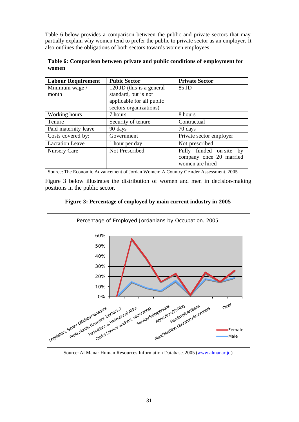Table 6 below provides a comparison between the public and private sectors that may partially explain why women tend to prefer the public to private sector as an employer. It also outlines the obligations of both sectors towards women employees.

| Table 6: Comparison between private and public conditions of employment for |  |  |
|-----------------------------------------------------------------------------|--|--|
| women                                                                       |  |  |

| <b>Labour Requirement</b> | <b>Pubic Sector</b>       | <b>Private Sector</b>   |  |  |
|---------------------------|---------------------------|-------------------------|--|--|
| Minimum wage /            | 120 JD (this is a general | 85 JD                   |  |  |
| month                     | standard, but is not      |                         |  |  |
|                           | applicable for all public |                         |  |  |
|                           | sectors organizations)    |                         |  |  |
| Working hours             | 7 hours                   | 8 hours                 |  |  |
| Tenure                    | Security of tenure        | Contractual             |  |  |
| Paid maternity leave      | 90 days                   | 70 days                 |  |  |
| Costs covered by:         | Government                | Private sector employer |  |  |
| <b>Lactation Leave</b>    | 1 hour per day            | Not prescribed          |  |  |
| <b>Nursery Care</b>       | Not Prescribed            | Fully funded on-site by |  |  |
|                           |                           | company once 20 married |  |  |
|                           |                           | women are hired         |  |  |

Source: The Economic Advancement of Jordan Women: A Country Ge nder Assessment, 2005

Figure 3 below illustrates the distribution of women and men in decision-making positions in the public sector.





Source: Al Manar Human Resources Information Database, 2005 (www.almanar.jo)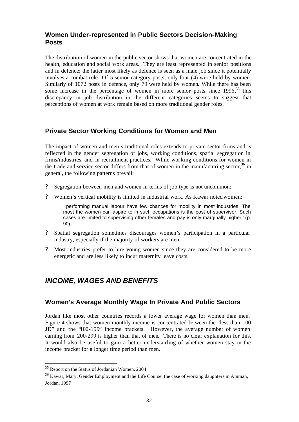### **Women Under-represented in Public Sectors Decision-Making Posts**

The distribution of women in the public sector shows that women are concentrated in the health, education and social work areas. They are least represented in senior positions and in defence; the latter most likely as defence is seen as a male job since it potentially involves a combat role . Of 5 senior category posts, only four (4) were held by women. Similarly of 1072 posts in defence, only 79 were held by women. While there has been some increase in the percentage of women in more senior posts since 1996,<sup>35</sup> this discrepancy in job distribution in the different categories seems to suggest that perceptions of women at work remain based on more traditional gender roles.

#### **Private Sector Working Conditions for Women and Men**

The impact of women and men's traditional roles extends to private sector firms and is reflected in the gender segregation of jobs, working conditions, spatial segregation in firms/industries, and in recruitment practices. While wor king conditions for women in the trade and service sector differs from that of women in the manufacturing sector,  $36$  in general, the following patterns prevail:

- ? Segregation between men and women in terms of job type is not uncommon;
- ? Women's vertical mobility is limited in industrial work. As Kawar notedwomen:

"performing manual labour have few chances for mobility in most industries. The most the women can aspire to in such occupations is the post of supervisor. Such cases are limited to supervising other females and pay is only marginally higher." (p. 90)

- ? Spatial segregation sometimes discourages women's participation in a particular industry, especially if the majority of workers are men.
- ? Most industries prefer to hire young women since they are considered to be more energetic and are less likely to incur maternity leave costs.

# *INCOME, WAGES AND BENEFITS*

### **Women's Average Monthly Wage In Private And Public Sectors**

Jordan like most other countries records a lower average wage for women than men. Figure 4 shows that women monthly income is concentrated between the "less than 100 JD" and the "100-199" income brackets. However, the average number of women earning from 200-299 is higher than that of men. There is no clear explanation for this. It would also be useful to gain a better understanding of whether women stay in the income bracket for a longer time period than men.

<sup>&</sup>lt;sup>35</sup> Report on the Status of Jordanian Women. 2004

<sup>&</sup>lt;sup>36</sup> Kawar, Mary. Gender Employment and the Life Course: the case of working daughters in Amman, Jordan. 1997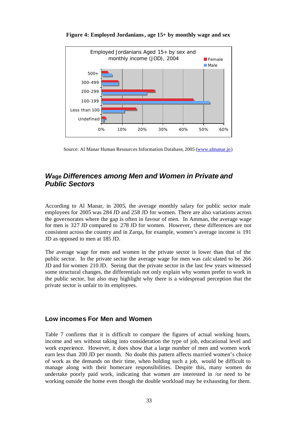

**Figure 4: Employed Jordanians, age 15+ by monthly wage and sex**

Source: Al Manar Human Resources Information Database, 2005 (www.almanar.jo)

# *W***age** *Differences among Men and Women in Private and Public Sectors*

According to Al Manar, in 2005, the average monthly salary for public sector male employees for 2005 was 284 JD and 258 JD for women. There are also variations across the governorates where the gap is often in favour of men. In Amman, the average wage for men is 327 JD compared to 278 JD for women. However, these differences are not consistent across the country and in Zarqa, for example, women's average income is 191 JD as opposed to men at 185 JD.

The average wage for men and women in the private sector is lower than that of the public sector. In the private sector the average wage for men was calc ulated to be 266 JD and for women 210 JD. Seeing that the private sector in the last few years witnessed some structural changes, the differentials not only explain why women prefer to work in the public sector, but also may highlight why there is a widespread perception that the private sector is unfair to its employees.

#### **Low incomes For Men and Women**

Table 7 confirms that it is difficult to compare the figures of actual working hours, income and sex without taking into consideration the type of job, educational level and work experience. However, it does show that a large number of men and women work earn less than 200 JD per month. No doubt this pattern affects married women's choice of work as the demands on their time, when holding such a job, would be difficult to manage along with their homecare responsibilities. Despite this, many women do undertake poorly paid work, indicating that women are interested in /or need to be working outside the home even though the double workload may be exhausting for them.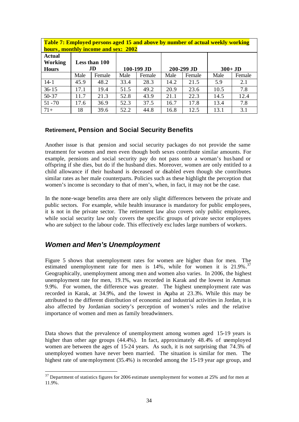| <b>Table 7: Employed persons aged 15 and above by number of actual weekly working</b><br>hours, monthly income and sex: 2002 |      |        |      |        |          |        |      |        |  |
|------------------------------------------------------------------------------------------------------------------------------|------|--------|------|--------|----------|--------|------|--------|--|
| <b>Actual</b><br>Working<br>Less than 100<br>.ID<br>100-199 JD<br>200-299 JD<br><b>Hours</b>                                 |      |        |      |        | $300+JD$ |        |      |        |  |
|                                                                                                                              | Male | Female | Male | Female | Male     | Female | Male | Female |  |
| $14 - 1$                                                                                                                     | 45.9 | 48.2   | 33.4 | 28.3   | 14.2     | 21.5   | 5.9  | 2.1    |  |
| $36 - 15$                                                                                                                    | 17.1 | 19.4   | 51.5 | 49.2   | 20.9     | 23.6   | 10.5 | 7.8    |  |
| $50 - 37$                                                                                                                    | 11.7 | 21.3   | 52.8 | 43.9   | 21.1     | 22.3   | 14.5 | 12.4   |  |
| $51 - 70$                                                                                                                    | 17.6 | 36.9   | 52.3 | 37.5   | 16.7     | 17.8   | 13.4 | 7.8    |  |
| $71+$                                                                                                                        | 18   | 39.6   | 52.2 | 44.8   | 16.8     | 12.5   | 13.1 | 3.1    |  |

#### **Retirement, Pension and Social Security Benefits**

Another issue is that pension and social security packages do not provide the same treatment for women and men even though both sexes contribute similar amounts. For example, pensions and social security pay do not pass onto a woman's hus band or offspring if she dies, but do if the husband dies. Moreover, women are only entitled to a child allowance if their husband is deceased or disabled even though she contributes similar rates as her male counterparts. Policies such as these highlight the perception that women's income is secondary to that of men's, when, in fact, it may not be the case.

In the none-wage benefits area there are only slight differences between the private and public sectors. For example, while health insurance is mandatory for public employees, it is not in the private sector. The retirement law also covers only public employees, while social security law only covers the specific groups of private sector employees who are subject to the labour code. This effectively exc ludes large numbers of workers.

### *Women and Men's Unemployment*

l

Figure 5 shows that unemployment rates for women are higher than for men. The estimated unemployment rate for men is 14%, while for women it is 21.9%.<sup>37</sup> Geographically, unemployment among men and women also varies. In 2006, the highest unemployment rate for men, 19.1%, was recorded in Karak and the lowest in Amman 9.9%. For women, the difference was greater. The highest unemployment rate was recorded in Karak, at 34.9%, and the lowest in Aqaba at 23.3%. While this may be attributed to the different distribution of economic and industrial activities in Jordan, it is also affected by Jordanian society's perception of women's roles and the relative importance of women and men as family breadwinners.

Data shows that the prevalence of unemployment among women aged 15-19 years is higher than other age groups (44.4%). In fact, approximately 48.4% of unemployed women are between the ages of 15-24 years. As such, it is not surprising that 74.5% of unemployed women have never been married. The situation is similar for men. The highest rate of unemployment (35.4%) is recorded among the 15-19 year age group, and

<sup>&</sup>lt;sup>37</sup> Department of statistics figures for 2006 estimate unemployment for women at 25% and for men at 11.9%.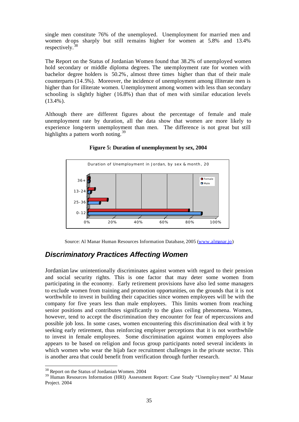single men constitute 76% of the unemployed. Unemployment for married men and women dr ops sharply but still remains higher for women at 5.8% and 13.4% respectively.<sup>38</sup>

The Report on the Status of Jordanian Women found that 38.2% of unemployed women hold secondary or middle diploma degrees. The unemployment rate for women with bachelor degree holders is 50.2%, almost three times higher than that of their male counterparts (14.5%). Moreover, the incidence of unemployment among illiterate men is higher than for illiterate women. Unemployment among women with less than secondary schooling is slightly higher (16.8%) than that of men with similar education levels (13.4%).

Although there are different figures about the percentage of female and male unemployment rate by duration, all the data show that women are more likely to experience long-term unemployment than men. The difference is not great but still highlights a pattern worth noting.<sup>39</sup>



**Figure 5: Duration of unemployment by sex, 2004**

Source: Al Manar Human Resources Information Database, 2005 (www.almanar.jo)

# *Discriminatory Practices Affecting Women*

Jordanian law unintentionally discriminates against women with regard to their pension and social security rights. This is one factor that may deter some women from participating in the economy. Early retirement provisions have also led some managers to exclude women from training and promotion opportunities, on the grounds that it is not worthwhile to invest in building their capacities since women employees will be with the company for five years less than male employees. This limits women from reaching senior positions and contributes significantly to the glass ceiling phenomena. Women, however, tend to accept the discrimination they encounter for fear of repercussions and possible job loss. In some cases, women encountering this discrimination deal with it by seeking early retirement, thus reinforcing employer perceptions that it is not worthwhile to invest in female employees. Some discrimination against women employees also appears to be based on religion and focus group participants noted several incidents in which women who wear the hijab face recruitment challenges in the private sector. This is another area that could benefit from verification through further research.

<sup>&</sup>lt;sup>38</sup> Report on the Status of Jordanian Women. 2004

<sup>&</sup>lt;sup>39</sup> Human Resources Information (HRI) Assessment Report: Case Study "Unemployment" Al Manar Project. 2004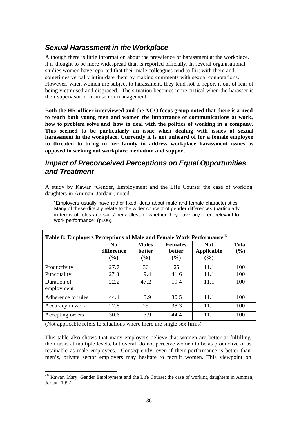# *Sexual Harassment in the Workplace*

Although there is little information about the prevalence of harassment at the workplace, it is thought to be more widespread than is reported officially. In several organisational studies women have reported that their male colleagues tend to flirt with them and sometimes verbally intimidate them by making comments with sexual connotations. However, when women are subject to harassment, they tend not to report it out of fear of being victimised and disgraced. The situation becomes more critical when the harasser is their supervisor or from senior management.

B**oth the HR officer interviewed and the NGO focus group noted that there is a need to teach both young men and women the importance of communications at work, how to problem solve and how to deal with the politics of working in a company. This seemed to be particularly an issue when dealing with issues of sexual harassment in the workplace. Currently it is not unheard of for a female employee to threaten to bring in her family to address workplace harassment issues as opposed to seeking out workplace mediation and support.** 

### *Impact of Preconceived Perceptions on Equal Opportunities and Treatment*

A study by Kawar "Gender, Employment and the Life Course: the case of working daughters in Amman, Jordan", noted:

"Employers usually have rather fixed ideas about male and female characteristics. Many of these directly relate to the wider concept of gender differences (particularly in terms of roles and skills) regardless of whether they have any direct relevant to work performance" (p106).

| Table 8: Employers Perceptions of Male and Female Work Performance <sup>40</sup> |                                        |                                          |                                        |                                 |                     |  |  |  |
|----------------------------------------------------------------------------------|----------------------------------------|------------------------------------------|----------------------------------------|---------------------------------|---------------------|--|--|--|
|                                                                                  | N <sub>0</sub><br>difference<br>$(\%)$ | <b>Males</b><br><b>be tter</b><br>$($ %) | <b>Females</b><br><b>better</b><br>(%) | <b>Not</b><br>Applicable<br>(%) | <b>Total</b><br>(%) |  |  |  |
| Productivity                                                                     | 27.7                                   | 36                                       | 25                                     | 11.1                            | 100                 |  |  |  |
| Punctuality                                                                      | 27.8                                   | 19.4                                     | 41.6                                   | 11.1                            | 100                 |  |  |  |
| Duration of<br>employment                                                        | 22.2                                   | 47.2                                     | 19.4                                   | 11.1                            | 100                 |  |  |  |
| Adherence to rules                                                               | 44.4                                   | 13.9                                     | 30.5                                   | 11.1                            | 100                 |  |  |  |
| Accuracy in work                                                                 | 27.8                                   | 25                                       | 38.3                                   | 11.1                            | 100                 |  |  |  |
| Accepting orders                                                                 | 30.6                                   | 13.9                                     | 44.4                                   | 11.1                            | 100                 |  |  |  |

(Not applicable refers to situations where there are single sex firms)

l

This table also shows that many employers believe that women are better at fulfilling their tasks at multiple levels, but overall do not perceive women to be as productive or as retainable as male employees. Consequently, even if their performance is better than men's, private sector employers may hesitate to recruit women. This viewpoint on

<sup>&</sup>lt;sup>40</sup> Kawar, Mary. Gender Employment and the Life Course: the case of working daughters in Amman, Jordan. 1997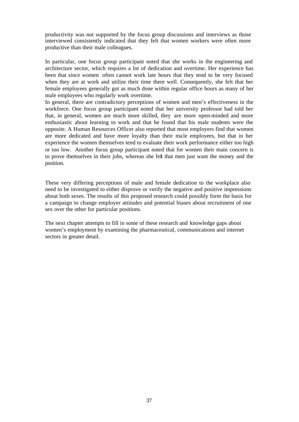productivity was not supported by the focus group discussions and interviews as those interviewed consistently indicated that they felt that women workers were often more productive than their male colleagues.

In particular, one focus group participant noted that she works in the engineering and architecture sector, which requires a lot of dedication and overtime. Her experience has been that since women often cannot work late hours that they tend to be very focused when they are at work and utilize their time there well. Consequently, she felt that her female employees generally got as much done within regular office hours as many of her male employees who regularly work overtime.

In general, there are contradictory perceptions of women and men's effectiveness in the workforce. One focus group participant noted that her university professor had told her that, in general, women are much more skilled, they are more open-minded and more enthusiastic about learning to work and that he found that his male students were the opposite. A Human Resources Officer also reported that most employers find that women are more dedicated and have more loyalty than their ma le employees, but that in her experience the women themselves tend to evaluate their work performance either too high or too low. Another focus group participant noted that for women their main concern is to prove themselves in their jobs, whereas she felt that men just want the money and the position.

These very differing perceptions of male and female dedication to the workplace also need to be investigated to either disprove or verify the negative and positive impressions about both sexes. The results of this proposed research could possibly form the basis for a campaign to change employer attitudes and potential biases about recruitment of one sex over the other for particular positions.

The next chapter attempts to fill in some of these research and knowledge gaps about women's employment by examining the pharmaceutical, communications and internet sectors in greater detail.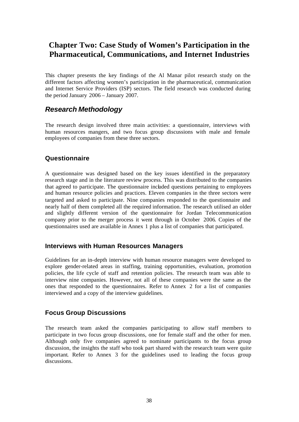# **Chapter Two: Case Study of Women's Participation in the Pharmaceutical, Communications, and Internet Industries**

This chapter presents the key findings of the Al Manar pilot research study on the different factors affecting women's participation in the pharmaceutical, communication and Internet Service Providers (ISP) sectors. The field research was conducted during the period January 2006 – January 2007.

### *Research Methodology*

The research design involved three main activities: a questionnaire, interviews with human resources mangers, and two focus group discussions with male and female employees of companies from these three sectors.

### **Questionnaire**

A questionnaire was designed based on the key issues identified in the preparatory research stage and in the literature review process. This was distributed to the companies that agreed to participate. The questionnaire included questions pertaining to employees and human resource policies and practices. Eleven companies in the three sectors were targeted and asked to participate. Nine companies responded to the questionnaire and nearly half of them completed all the required information. The research utilised an older and slightly different version of the questionnaire for Jordan Telecommunication company prior to the merger process it went through in October 2006. Copies of the questionnaires used are available in Annex 1 plus a list of companies that participated.

#### **Interviews with Human Resources Managers**

Guidelines for an in-depth interview with human resource managers were developed to explore gender-related areas in staffing, training opportunities, evaluation, promotion policies, the life cycle of staff and retention policies. The research team was able to interview nine companies. However, not all of these companies were the same as the ones that responded to the questionnaires. Refer to Annex 2 for a list of companies interviewed and a copy of the interview guidelines.

#### **Focus Group Discussions**

The research team asked the companies participating to allow staff members to participate in two focus group discussions, one for female staff and the other for men. Although only five companies agreed to nominate participants to the focus group discussion, the insights the staff who took part shared with the research team were quite important. Refer to Annex 3 for the guidelines used to leading the focus group discussions.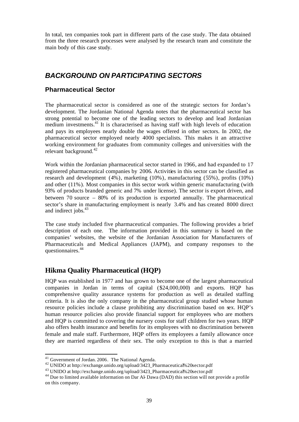In total, ten companies took part in different parts of the case study. The data obtained from the three research processes were analysed by the research team and constitute the main body of this case study.

### *BACKGROUND ON PARTICIPATING SECTORS*

#### **Pharmaceutical Sector**

The pharmaceutical sector is considered as one of the strategic sectors for Jordan's development. The Jordanian National Agenda notes that the pharmaceutical sector has strong potential to become one of the leading sectors to develop and lead Jordanian medium investments.<sup>41</sup> It is characterised as having staff with high levels of education and pays its employees nearly double the wages offered in other sectors. In 2002, the pharmaceutical sector employed nearly 4000 specialists. This makes it an attractive working environment for graduates from community colleges and universities with the relevant background.<sup>42</sup>

Work within the Jordanian pharmaceutical sector started in 1966, and had expanded to 17 registered pharmaceutical companies by 2006. Activities in this sector can be classified as research and development (4%), marketing (10%), manufacturing (55%), profits (10%) and other (11%). Most companies in this sector work within generic manufacturing (with 93% of products branded generic and 7% under license). The sector is export driven, and between 70 source – 80% of its production is exported annually. The pharmaceutical sector's share in manufacturing employment is nearly 3.4% and has created 8000 direct and indirect jobs.<sup>43</sup>

The case study included five pharmaceutical companies. The following provides a brief description of each one. The information provided in this summary is based on the companies' websites, the website of the Jordanian Association for Manufacturers of Pharmaceuticals and Medical Appliances (JAPM), and company responses to the questionnaires.<sup>44</sup>

### **Hikma Quality Pharmaceutical (HQP)**

HQP was established in 1977 and has grown to become one of the largest pharmaceutical companies in Jordan in terms of capital (\$24,000,000) and exports. HQP has comprehensive quality assurance systems for production as well as detailed staffing criteria. It is also the only company in the pharmaceutical group studied whose human resource policies include a clause prohibiting any discrimination based on sex. HQP's human resource policies also provide financial support for employees who are mothers and HQP is committed to covering the nursery costs for staff children for two years. HQP also offers health insurance and benefits for its employees with no discrimination between female and male staff. Furthermore, HQP offers its employees a family allowance once they are married regardless of their sex. The only exception to this is that a married

 $41$  Government of Jordan. 2006. The National Agenda.

<sup>42</sup> UNIDO at http://exchange.unido.org/upload/3423\_Pharmaceutical%20sector.pdf

<sup>43</sup> UNIDO at http://exchange.unido.org/upload/3423\_Pharmaceutical%20sector.pdf

<sup>&</sup>lt;sup>44</sup> Due to limited available information on Dar Al- Dawa (DAD) this section will not provide a profile on this company.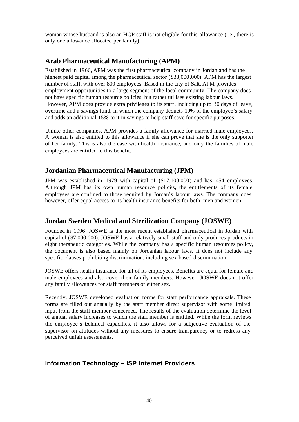woman whose husband is also an HQP staff is not eligible for this allowance (i.e., there is only one allowance allocated per family).

### **Arab Pharmaceutical Manufacturing (APM)**

Established in 1966, APM was the first pharmaceutical company in Jordan and has the highest paid capital among the pharmaceutical sector (\$38,000,000). APM has the largest number of staff, with over 800 employees. Based in the city of Salt, APM provides employment opportunities to a large segment of the local community. The company does not have specific human resource policies, but rather utilises existing labour laws. However, APM does provide extra privileges to its staff, including up to 30 days of leave, overtime and a savings fund, in which the company deducts 10% of the employee's salary and adds an additional 15% to it in savings to help staff save for specific purposes.

Unlike other companies, APM provides a family allowance for married male employees. A woman is also entitled to this allowance if she can prove that she is the only supporter of her family. This is also the case with health insurance, and only the families of male employees are entitled to this benefit.

### **Jordanian Pharmaceutical Manufacturing (JPM)**

JPM was established in 1979 with capital of (\$17,100,000) and has 454 employees. Although JPM has its own human resource policies, the entitlements of its female employees are confined to those required by Jordan's labour laws. The company does, however, offer equal access to its health insurance benefits for both men and women.

### **Jordan Sweden Medical and Sterilization Company (JOSWE)**

Founded in 1996, JOSWE is the most recent established pharmaceutical in Jordan with capital of (\$7,000,000). JOSWE has a relatively small staff and only produces products in eight therapeutic categories. While the company has a specific human resources policy, the document is also based mainly on Jordanian labour laws. It does not include any specific clauses prohibiting discrimination, including sex-based discrimination.

JOSWE offers health insurance for all of its employees. Benefits are equal for female and male employees and also cover their family members. However, JOSWE does not offer any family allowances for staff members of either sex.

Recently, JOSWE developed evaluation forms for staff performance appraisals. These forms are filled out annually by the staff member direct supervisor with some limited input from the staff member concerned. The results of the evaluation determine the level of annual salary increases to which the staff member is entitled. While the form reviews the employee's technical capacities, it also allows for a subjective evaluation of the supervisor on attitudes without any measures to ensure transparency or to redress any perceived unfair assessments.

### **Information Technology – ISP Internet Providers**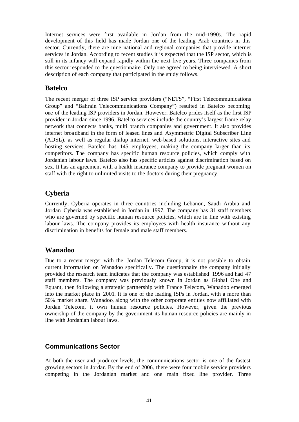Internet services were first available in Jordan from the mid-1990s. The rapid development of this field has made Jordan one of the leading Arab countries in this sector. Currently, there are nine national and regional companies that provide internet services in Jordan. According to recent studies it is expected that the ISP sector, which is still in its infancy will expand rapidly within the next five years. Three companies from this sector responded to the questionnaire. Only one agreed to being interviewed. A short description of each company that participated in the study follows.

#### **Batelco**

The recent merger of three ISP service providers ("NETS", "First Telecommunications Group" and "Bahrain Telecommunications Company") resulted in Batelco becoming one of the leading ISP providers in Jordan. However, Batelco prides itself as the first ISP provider in Jordan since 1996. Batelco services include the country's largest frame relay network that connects banks, multi branch companies and government. It also provides internet broa dband in the form of leased lines and Asymmetric Digital Subscriber Line (ADSL), as well as regular dialup internet, web-based solutions, interactive sites and hosting services. Batelco has 145 employees, making the company larger than its competitors. The company has specific human resource policies, which comply with Jordanian labour laws. Batelco also has specific articles against discrimination based on sex. It has an agreement with a health insurance company to provide pregnant women on staff with the right to unlimited visits to the doctors during their pregnancy.

### **Cyberia**

Currently, Cyberia operates in three countries including Lebanon, Saudi Arabia and Jordan. Cyberia was established in Jordan in 1997. The company has 31 staff members who are governed by specific human resource policies, which are in line with existing labour laws. The company provides its employees with health insurance without any discrimination in benefits for female and male staff members.

### **Wanadoo**

Due to a recent merger with the Jordan Telecom Group, it is not possible to obtain current information on Wanadoo specifically. The questionnaire the company initially provided the research team indicates that the company was established 1996 and had 47 staff members. The company was previously known in Jordan as Global One and Equant, then following a strategic partnership with France Telecom, Wanadoo emerged into the market place in 2001. It is one of the leading ISPs in Jordan, with a more than 50% market share. Wanadoo, along with the other corporate entities now affiliated with Jordan Telecom, it own human resource policies. However, given the previous ownership of the company by the government its human resource policies are mainly in line with Jordanian labour laws.

#### **Communications Sector**

At both the user and producer levels, the communications sector is one of the fastest growing sectors in Jordan. By the end of 2006, there were four mobile service providers competing in the Jordanian market and one main fixed line provider. Three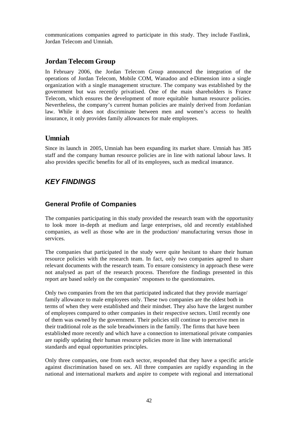communications companies agreed to participate in this study. They include Fastlink, Jordan Telecom and Umniah.

### **Jordan Telecom Group**

In February 2006, the Jordan Telecom Group announced the integration of the operations of Jordan Telecom, Mobile COM, Wanadoo and e-Dimension into a single organization with a single management structure. The company was established by the government but was recently privatised. One of the main shareholders is France Telecom, which ensures the development of more equitable human resource policies. Nevertheless, the company's current human policies are mainly derived from Jordanian law. While it does not discriminate between men and women's access to health insurance, it only provides family allowances for male employees.

### **Umniah**

Since its launch in 2005, Umniah has been expanding its market share. Umniah has 385 staff and the company human resource policies are in line with national labour laws. It also provides specific benefits for all of its employees, such as medical insurance.

# *KEY FINDINGS*

### **General Profile of Companies**

The companies participating in this study provided the research team with the opportunity to look more in-depth at medium and large enterprises, old and recently established companies, as well as those who are in the production/ manufacturing versus those in services.

The companies that participated in the study were quite hesitant to share their human resource policies with the research team. In fact, only two companies agreed to share relevant documents with the research team. To ensure consistency in approach these were not analysed as part of the research process. Therefore the findings presented in this report are based solely on the companies' responses to the questionnaires.

Only two companies from the ten that participated indicated that they provide marriage/ family allowance to male employees only. These two companies are the oldest both in terms of when they were established and their mindset. They also have the largest number of employees compared to other companies in their respective sectors. Until recently one of them was owned by the government. Their policies still continue to perceive men in their traditional role as the sole breadwinners in the family. The firms that have been established more recently and which have a connection to international private companies are rapidly updating their human resource policies more in line with international standards and equal opportunities principles.

Only three companies, one from each sector, responded that they have a specific article against discrimination based on sex. All three companies are rapidly expanding in the national and international markets and aspire to compete with regional and international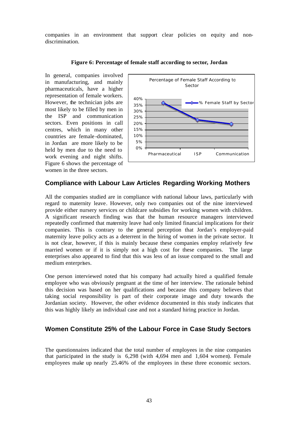companies in an environment that support clear policies on equity and nondiscrimination.



#### **Figure 6: Percentage of female staff according to sector, Jordan**

#### **Compliance with Labour Law Articles Regarding Working Mothers**

women in the three sectors.

All the companies studied are in compliance with national labour laws, particularly with regard to maternity leave. However, only two companies out of the nine interviewed provide either nursery services or childcare subsidies for working women with children. A significant research finding was that the human resource managers interviewed repeatedly confirmed that maternity leave had only limited financial implications for their companies. This is contrary to the general perception that Jordan's employer-paid maternity leave policy acts as a deterrent in the hiring of women in the private sector. It is not clear, however, if this is mainly because these companies employ relatively few married women or if it is simply not a high cost for these companies. The large enterprises also appeared to find that this was less of an issue compared to the small and medium enterprises.

One person interviewed noted that his company had actually hired a qualified female employee who was obviously pregnant at the time of her interview. The rationale behind this decision was based on her qualifications and because this company believes that taking social responsibility is part of their corporate image and duty towards the Jordanian society. However, the other evidence documented in this study indicates that this was highly likely an individual case and not a standard hiring practice in Jordan.

#### **Women Constitute 25% of the Labour Force in Case Study Sectors**

The questionnaires indicated that the total number of employees in the nine companies that participated in the study is 6,298 (with 4,694 men and 1,604 women). Female employees make up nearly 25.46% of the employees in these three economic sectors.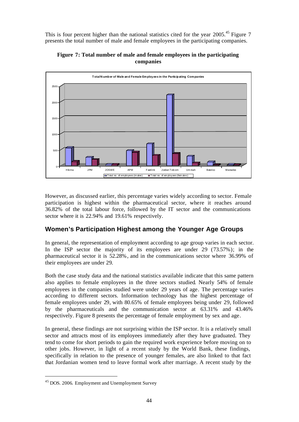This is four percent higher than the national statistics cited for the year 2005.<sup>45</sup> Figure 7 presents the total number of male and female employees in the participating companies.



#### **Figure 7: Total number of male and female employees in the participating companies**

However, as discussed earlier, this percentage varies widely according to sector. Female participation is highest within the pharmaceutical sector, where it reaches around 36.82% of the total labour force, followed by the IT sector and the communications sector where it is 22.94% and 19.61% respectively.

### **Women's Participation Highest among the Younger Age Groups**

In general, the representation of employment according to age group varies in each sector. In the ISP sector the majority of its employees are under 29 (73.57%); in the pharmaceutical sector it is 52.28%, and in the communications sector where 36.99% of their employees are under 29.

Both the case study data and the national statistics available indicate that this same pattern also applies to female employees in the three sectors studied. Nearly 54% of female employees in the companies studied were under 29 years of age. The percentage varies according to different sectors. Information technology has the highest percentage of female employees under 29, with 80.65% of female employees being under 29, followed by the pharmaceuticals and the communication sector at 63.31% and 43.46% respectively. Figure 8 presents the percentage of female employment by sex and age.

In general, these findings are not surprising within the ISP sector. It is a relatively small sector and attracts most of its employees immediately after they have graduated. They tend to come for short periods to gain the required work experience before moving on to other jobs. However, in light of a recent study by the World Bank, these findings, specifically in relation to the presence of younger females, are also linked to that fact that Jordanian women tend to leave formal work after marriage. A recent study by the

<sup>45</sup> DOS. 2006. Employment and Unemployment Survey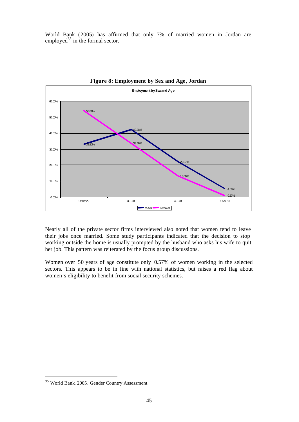World Bank (2005) has affirmed that only 7% of married women in Jordan are employed<sup>35</sup> in the formal sector.



**Figure 8: Employment by Sex and Age, Jordan**

Nearly all of the private sector firms interviewed also noted that women tend to leave their jobs once married. Some study participants indicated that the decision to stop working outside the home is usually prompted by the husband who asks his wife to quit her job. This pattern was reiterated by the focus group discussions.

Women over 50 years of age constitute only 0.57% of women working in the selected sectors. This appears to be in line with national statistics, but raises a red flag about women's eligibility to benefit from social security schemes.

<sup>35</sup> World Bank. 2005. Gender Country Assessment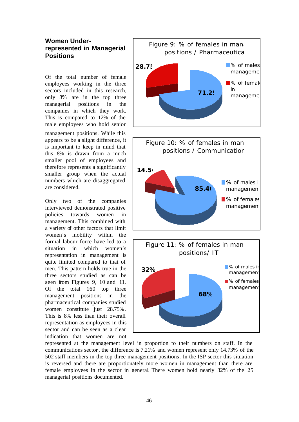### **Women Underrepresented in Managerial Positions**

Of the total number of female employees working in the three sectors included in this research, only 8% are in the top three managerial positions in the companies in which they work. This is compared to 12% of the male employees who hold senior management positions. While this appears to be a slight difference, it is important to keep in mind that this 8% is drawn from a much smaller pool of employees and therefore represents a significantly smaller group when the actual numbers which are disaggregated are considered.

Only two of the companies interviewed demonstrated positive policies towards women in management. This combined with a variety of other factors that limit women's mobility within the formal labour force have led to a situation in which women's representation in management is quite limited compared to that of men. This pattern holds true in the three sectors studied as can be seen from Figures 9, 10 and 11. Of the total 160 top three management positions in the pharmaceutical companies studied women constitute just 28.75%. This is 8% less than their overall representation as employees in this sector and can be seen as a clear indication that women are not



represented at the management level in proportion to their numbers on staff. In the communications sector, the difference is 7.21% and women represent only 14.73% of the 502 staff members in the top three management positions. In the ISP sector this situation is reversed and there are proportionately more women in management than there are female employees in the sector in general. There women hold nearly 32% of the 25 managerial positions documented.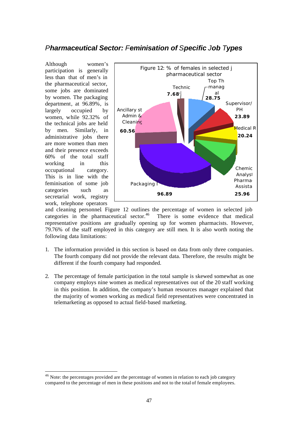### *Pharmaceutical Sector: Feminisation of Specific Job Types*

Although women's participation is generally less than that of men's in the pharmaceutical sector, some jobs are dominated by women. The packaging department, at 96.89%, is largely occupied by women, while 92.32% of the technical jobs are held by men. Similarly, in administrative jobs there are more women than men and their presence exceeds 60% of the total staff working in this occupational category. This is in line with the feminisation of some job categories such as secretarial work, registry work, telephone operators

l



and cleaning personnel. Figure 12 outlines the percentage of women in selected job categories in the pharmaceutical sector.<sup>46</sup> There is some evidence that medical representative positions are gradually opening up for women pharmacists. However, 79.76% of the staff employed in this category are still men. It is also worth noting the following data limitations:

- 1. The information provided in this section is based on data from only three companies. The fourth company did not provide the relevant data. Therefore, the results might be different if the fourth company had responded.
- 2. The percentage of female participation in the total sample is skewed somewhat as one company employs nine women as medical representatives out of the 20 staff working in this position. In addition, the company's human resources manager explained that the majority of women working as medical field representatives were concentrated in telemarketing as opposed to actual field-based marketing.

<sup>&</sup>lt;sup>46</sup> Note: the percentages provided are the percentage of women in relation to each job category compared to the percentage of men in these positions and not to the total of female employees.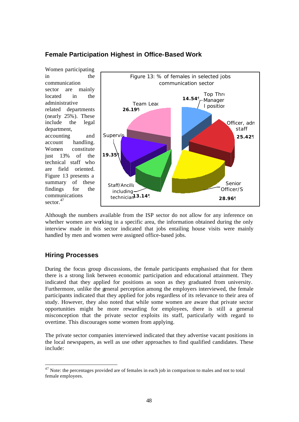#### **Female Participation Highest in Office-Based Work**

Women participating in the communication sector are mainly located in the administrative related departments (nearly 25%). These include the legal department, accounting and account handling. Women constitute just 13% of the technical staff who are field oriented. Figure 13 presents a summary of these findings for the communications sector<sup>47</sup>



Although the numbers available from the ISP sector do not allow for any inference on whether women are working in a specific area, the information obtained during the only interview made in this sector indicated that jobs entailing house visits were mainly handled by men and women were assigned office-based jobs.

### **Hiring Processes**

l

During the focus group discussions, the female participants emphasised that for them there is a strong link between economic participation and educational attainment. They indicated that they applied for positions as soon as they graduated from university. Furthermore, unlike the general perception among the employers interviewed, the female participants indicated that they applied for jobs regardless of its relevance to their area of study. However, they also noted that while some women are aware that private sector opportunities might be more rewarding for employees, there is still a general misconception that the private sector exploits its staff, particularly with regard to overtime. This discourages some women from applying.

The private sector companies interviewed indicated that they advertise vacant positions in the local newspapers, as well as use other approaches to find qualified candidates. These include:

 $47$  Note: the percentages provided are of females in each job in comparison to males and not to total female employees.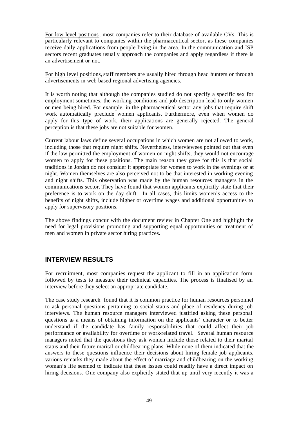For low level positions, most companies refer to their database of available CVs. This is particularly relevant to companies within the pharmaceutical sector, as these companies receive daily applications from people living in the area. In the communication and ISP sectors recent graduates usually approach the companies and apply regardless if there is an advertisement or not.

For high level positions, staff members are usually hired through head hunters or through advertisements in web based regional advertising agencies.

It is worth noting that although the companies studied do not specify a specific sex for employment sometimes, the working conditions and job description lead to only women or men being hired. For example, in the pharmaceutical sector any jobs that require shift work automatically preclude women applicants. Furthermore, even when women do apply for this type of work, their applications are generally rejected. The general perception is that these jobs are not suitable for women.

Current labour laws define several occupations in which women are not allowed to work, including those that require night shifts. Nevertheless, interviewees pointed out that even if the law permitted the employment of women on night shifts, they would not encourage women to apply for these positions. The main reason they gave for this is that social traditions in Jordan do not consider it appropriate for women to work in the evenings or at night. Women themselves are also perceived not to be that interested in working evening and night shifts. This observation was made by the human resources managers in the communications sector. They have found that women applicants explicitly state that their preference is to work on the day shift. In all cases, this limits women's access to the benefits of night shifts, include higher or overtime wages and additional opportunities to apply for supervisory positions.

The above findings concur with the document review in Chapter One and highlight the need for legal provisions promoting and supporting equal opportunities or treatment of men and women in private sector hiring practices.

#### **INTERVIEW RESULTS**

For recruitment, most companies request the applicant to fill in an application form followed by tests to measure their technical capacities. The process is finalised by an interview before they select an appropriate candidate.

The case study research found that it is common practice for human resources personnel to ask personal questions pertaining to social status and place of residency during job interviews. The human resource managers interviewed justified asking these personal questions as a means of obtaining information on the applicants' character or to better understand if the candidate has family responsibilities that could affect their job performance or availability for overtime or work-related travel. Several human resource managers noted that the questions they ask women include those related to their marital status and their future marital or childbearing plans. While none of them indicated that the answers to these questions influence their decisions about hiring female job applicants, various remarks they made about the effect of marriage and childbearing on the working woman's life seemed to indicate that these issues could readily have a direct impact on hiring decisions. One company also explicitly stated that up until very recently it was a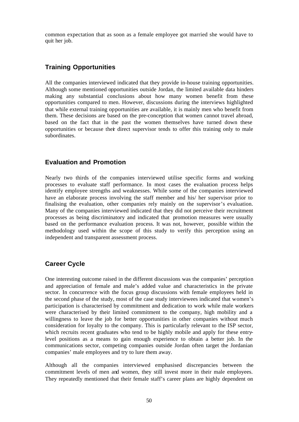common expectation that as soon as a female employee got married she would have to quit her job.

### **Training Opportunities**

All the companies interviewed indicated that they provide in-house training opportunities. Although some mentioned opportunities outside Jordan, the limited available data hinders making any substantial conclusions about how many women benefit from these opportunities compared to men. However, discussions during the interviews highlighted that while external training opportunities are available, it is mainly men who benefit from them. These decisions are based on the pre-conception that women cannot travel abroad, based on the fact that in the past the women themselves have turned down these opportunities or because their direct supervisor tends to offer this training only to male subordinates.

### **Evaluation and Promotion**

Nearly two thirds of the companies interviewed utilise specific forms and working processes to evaluate staff performance. In most cases the evaluation process helps identify employee strengths and weaknesses. While some of the companies interviewed have an elaborate process involving the staff member and his/ her supervisor prior to finalising the evaluation, other companies rely mainly on the supervisor's evaluation. Many of the companies interviewed indicated that they did not perceive their recruitment processes as being discriminatory and indicated that promotion measures were usually based on the performance evaluation process. It was not, however, possible within the methodology used within the scope of this study to verify this perception using an independent and transparent assessment process.

### **Career Cycle**

One interesting outcome raised in the different discussions was the companies' perception and appreciation of female and male's added value and characteristics in the private sector. In concurrence with the focus group discussions with female employees held in the second phase of the study, most of the case study interviewees indicated that women's participation is characterised by commitment and dedication to work while male workers were characterised by their limited commitment to the company, high mobility and a willingness to leave the job for better opportunities in other companies without much consideration for loyalty to the company. This is particularly relevant to the ISP sector, which recruits recent graduates who tend to be highly mobile and apply for these entrylevel positions as a means to gain enough experience to obtain a better job. In the communications sector, competing companies outside Jordan often target the Jordanian companies' male employees and try to lure them away.

Although all the companies interviewed emphasised discrepancies between the commitment levels of men and women, they still invest more in their male employees. They repeatedly mentioned that their female staff's career plans are highly dependent on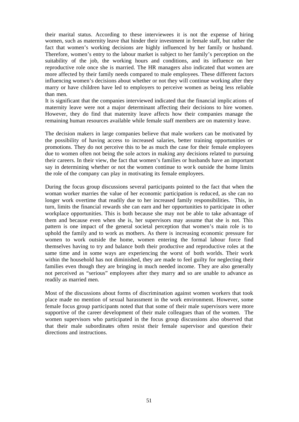their marital status. According to these interviewees it is not the expense of hiring women, such as maternity leave that hinder their investment in female staff, but rather the fact that women's working decisions are highly influenced by her family or husband. Therefore, women's entry to the labour market is subject to her family's perception on the suitability of the job, the working hours and conditions, and its influence on her reproductive role once she is married. The HR managers also indicated that women are more affected by their family needs compared to male employees. These different factors influencing women's decisions about whether or not they will continue working after they marry or have children have led to employers to perceive women as being less reliable than men.

It is significant that the companies interviewed indicated that the financial implic ations of maternity leave were not a major determinant affecting their decisions to hire women. However, they do find that maternity leave affects how their companies manage the remaining human resources available while female staff members are on maternit y leave.

The decision makers in large companies believe that male workers can be motivated by the possibility of having access to increased salaries, better training opportunities or promotions. They do not perceive this to be as much the case for their female employees due to women often not being the sole actors in making any decisions related to pursuing their careers. In their view, the fact that women's families or husbands have an important say in determining whether or not the women continue to wor k outside the home limits the role of the company can play in motivating its female employees.

During the focus group discussions several participants pointed to the fact that when the woman worker marries the value of her economic participation is reduced, as she can no longer work overtime that readily due to her increased family responsibilities. This, in turn, limits the financial rewards she can earn and her opportunities to participate in other workplace opportunities. This is both because she may not be able to take advantage of them and because even when she is, her supervisors may assume that she is not. This pattern is one impact of the general societal perception that women's main role is to uphold the family and to work as mothers. As there is increasing economic pressure for women to work outside the home, women entering the formal labour force find themselves having to try and balance both their productive and reproductive roles at the same time and in some ways are experiencing the worst of both worlds. Their work within the household has not diminished, they are made to feel guilty for neglecting their families even though they are bringing in much needed income. They are also generally not perceived as "serious" employees after they marry and so are unable to advance as readily as married men.

Most of the discussions about forms of discrimination against women workers that took place made no mention of sexual harassment in the work environment. However, some female focus group participants noted that that some of their male supervisors were more supportive of the career development of their male colleagues than of the women. The women supervisors who participated in the focus group discussions also observed that that their male subordinates often resist their female supervisor and question their directions and instructions.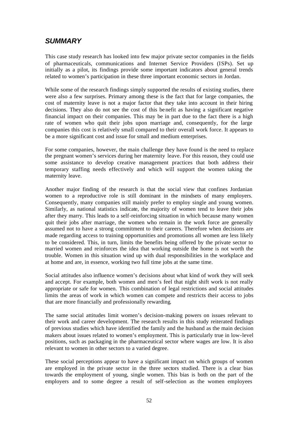# *SUMMARY*

This case study research has looked into few major private sector companies in the fields of pharmaceuticals, communications and Internet Service Providers (ISPs). Set up initially as a pilot, its findings provide some important indicators about general trends related to women's participation in these three important economic sectors in Jordan.

While some of the research findings simply supported the results of existing studies, there were also a few surprises. Primary among these is the fact that for large companies, the cost of maternity leave is not a major factor that they take into account in their hiring decisions. They also do not see the cost of this be nefit as having a significant negative financial impact on their companies. This may be in part due to the fact there is a high rate of women who quit their jobs upon marriage and, consequently, for the large companies this cost is relatively small compared to their overall work force. It appears to be a more significant cost and issue for small and medium enterprises.

For some companies, however, the main challenge they have found is the need to replace the pregnant women's services during her maternity leave. For this reason, they could use some assistance to develop creative management practices that both address their temporary staffing needs effectively and which will support the women taking the maternity leave.

Another major finding of the research is that the social view that confines Jordanian women to a reproductive role is still dominant in the mindsets of many employers. Consequently, many companies still mainly prefer to employ single and young women. Similarly, as national statistics indicate, the majority of women tend to leave their jobs after they marry. This leads to a self-reinforcing situation in which because many women quit their jobs after marriage, the women who remain in the work force are generally assumed not to have a strong commitment to their careers. Therefore when decisions are made regarding access to training opportunities and promotions all women are less likely to be considered. This, in turn, limits the benefits being offered by the private sector to married women and reinforces the idea that working outside the home is not worth the trouble. Women in this situation wind up with dual responsibilities in the workplace and at home and are, in essence, working two full time jobs at the same time.

Social attitudes also influence women's decisions about what kind of work they will seek and accept. For example, both women and men's feel that night shift work is not really appropriate or safe for women. This combination of legal restrictions and social attitudes limits the areas of work in which women can compete and restricts their access to jobs that are more financially and professionally rewarding.

The same social attitudes limit women's decision-making powers on issues relevant to their work and career development. The research results in this study reiterated findings of previous studies which have identified the family and the husband as the main decision makers about issues related to women's employment. This is particularly true in low-level positions, such as packaging in the pharmaceutical sector where wages are low. It is also relevant to women in other sectors to a varied degree.

These social perceptions appear to have a significant impact on which groups of women are employed in the private sector in the three sectors studied. There is a clear bias towards the employment of young, single women. This bias is both on the part of the employers and to some degree a result of self-selection as the women employees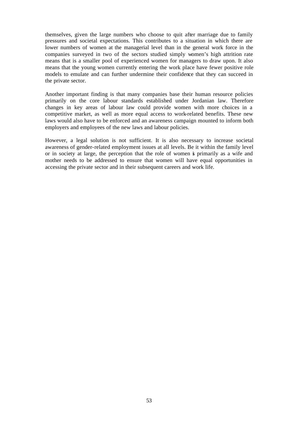themselves, given the large numbers who choose to quit after marriage due to family pressures and societal expectations. This contributes to a situation in which there are lower numbers of women at the managerial level than in the general work force in the companies surveyed in two of the sectors studied simply women's high attrition rate means that is a smaller pool of experienced women for managers to draw upon. It also means that the young women currently entering the work place have fewer positive role models to emulate and can further undermine their confidence that they can succeed in the private sector.

Another important finding is that many companies base their human resource policies primarily on the core labour standards established under Jordanian law. Therefore changes in key areas of labour law could provide women with more choices in a competitive market, as well as more equal access to work-related benefits. These new laws would also have to be enforced and an awareness campaign mounted to inform both employers and employees of the new laws and labour policies.

However, a legal solution is not sufficient. It is also necessary to increase societal awareness of gender-related employment issues at all levels. Be it within the family level or in society at large, the perception that the role of women is primarily as a wife and mother needs to be addressed to ensure that women will have equal opportunities in accessing the private sector and in their subsequent careers and work life.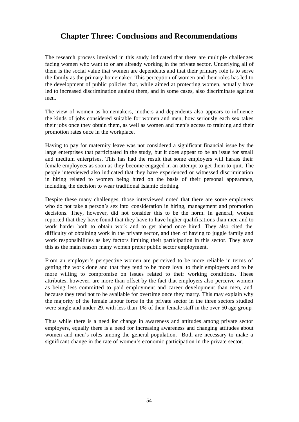# **Chapter Three: Conclusions and Recommendations**

The research process involved in this study indicated that there are multiple challenges facing women who want to or are already working in the private sector. Underlying all of them is the social value that women are dependents and that their primary role is to serve the family as the primary homemaker. This perception of women and their roles has led to the development of public policies that, while aimed at protecting women, actually have led to increased discrimination against them, and in some cases, also discriminate aga inst men.

The view of women as homemakers, mothers and dependents also appears to influence the kinds of jobs considered suitable for women and men, how seriously each sex takes their jobs once they obtain them, as well as women and men's access to training and their promotion rates once in the workplace.

Having to pay for maternity leave was not considered a significant financial issue by the large enterprises that participated in the study, but it does appear to be an issue for small and medium enterprises. This has had the result that some employers will harass their female employees as soon as they become engaged in an attempt to get them to quit. The people interviewed also indicated that they have experienced or witnessed discrimination in hiring related to women being hired on the basis of their personal appearance, including the decision to wear traditional Islamic clothing.

Despite these many challenges, those interviewed noted that there are some employers who do not take a person's sex into consideration in hiring, management and promotion decisions. They, however, did not consider this to be the norm. In general, women reported that they have found that they have to have higher qualifications than men and to work harder both to obtain work and to get ahead once hired. They also cited the difficulty of obtaining work in the private sector, and then of having to juggle family and work responsibilities as key factors limiting their participation in this sector. They gave this as the main reason many women prefer public sector employment.

From an employer's perspective women are perceived to be more reliable in terms of getting the work done and that they tend to be more loyal to their employers and to be more willing to compromise on issues related to their working conditions. These attributes, however, are more than offset by the fact that employers also perceive women as being less committed to paid employment and career development than men, and because they tend not to be available for overtime once they marry. This may explain why the majority of the female labour force in the private sector in the three sectors studied were single and under 29, with less than 1% of their female staff in the over 50 age group.

Thus while there is a need for change in awareness and attitudes among private sector employers, equally there is a need for increasing awareness and changing attitudes about women and men's roles among the general population. Both are necessary to make a significant change in the rate of women's economic participation in the private sector.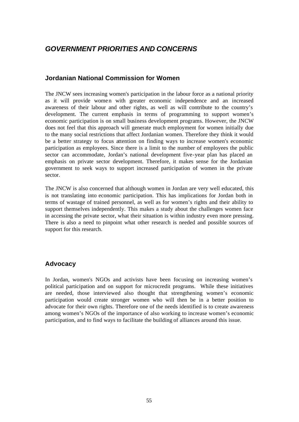# *GOVERNMENT PRIORITIES AND CONCERNS*

#### **Jordanian National Commission for Women**

The JNCW sees increasing women's participation in the labour force as a national priority as it will provide women with greater economic independence and an increased awareness of their labour and other rights, as well as will contribute to the country's development. The current emphasis in terms of programming to support women's economic participation is on small business development programs. However, the JNCW does not feel that this approach will generate much employment for women initially due to the many social restrictions that affect Jordanian women. Therefore they think it would be a better strategy to focus attention on finding ways to increase women's economic participation as employees. Since there is a limit to the number of employees the public sector can accommodate, Jordan's national development five-year plan has placed an emphasis on private sector development. Therefore, it makes sense for the Jordanian government to seek ways to support increased participation of women in the private sector.

The JNCW is also concerned that although women in Jordan are very well educated, this is not translating into economic participation. This has implications for Jordan both in terms of wastage of trained personnel, as well as for women's rights and their ability to support themselves independently. This makes a study about the challenges women face in accessing the private sector, what their situation is within industry even more pressing. There is also a need to pinpoint what other research is needed and possible sources of support for this research.

### **Advocacy**

In Jordan, women's NGOs and activists have been focusing on increasing women's political participation and on support for microcredit programs. While these initiatives are needed, those interviewed also thought that strengthening women's economic participation would create stronger women who will then be in a better position to advocate for their own rights. Therefore one of the needs identified is to create awareness among women's NGOs of the importance of also working to increase women's economic participation, and to find ways to facilitate the building of alliances around this issue.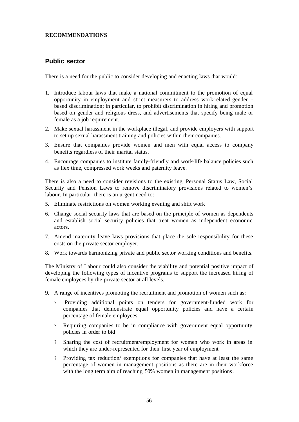#### **RECOMMENDATIONS**

#### **Public sector**

There is a need for the public to consider developing and enacting laws that would:

- 1. Introduce labour laws that make a national commitment to the promotion of equal opportunity in employment and strict measurers to address work-related gender based discrimination; in particular, to prohibit discrimination in hiring and promotion based on gender and religious dress, and advertisements that specify being male or female as a job requirement.
- 2. Make sexual harassment in the workplace illegal, and provide employers with support to set up sexual harassment training and policies within their companies.
- 3. Ensure that companies provide women and men with equal access to company benefits regardless of their marital status.
- 4. Encourage companies to institute family-friendly and work-life balance policies such as flex time, compressed work weeks and paternity leave.

There is also a need to consider revisions to the existing Personal Status Law, Social Security and Pension Laws to remove discriminatory provisions related to women's labour. In particular, there is an urgent need to:

- 5. Eliminate restrictions on women working evening and shift work
- 6. Change social security laws that are based on the principle of women as dependents and establish social security policies that treat women as independent economic actors.
- 7. Amend maternity leave laws provisions that place the sole responsibility for these costs on the private sector employer.
- 8. Work towards harmonizing private and public sector working conditions and benefits.

The Ministry of Labour could also consider the viability and potential positive impact of developing the following types of incentive programs to support the increased hiring of female employees by the private sector at all levels.

- 9. A range of incentives promoting the recruitment and promotion of women such as:
	- ? Providing additional points on tenders for government-funded work for companies that demonstrate equal opportunity policies and have a certain percentage of female employees
	- ? Requiring companies to be in compliance with government equal opportunity policies in order to bid
	- ? Sharing the cost of recruitment/employment for women who work in areas in which they are under-represented for their first year of employment
	- ? Providing tax reduction/ exemptions for companies that have at least the same percentage of women in management positions as there are in their workforce with the long term aim of reaching 50% women in management positions.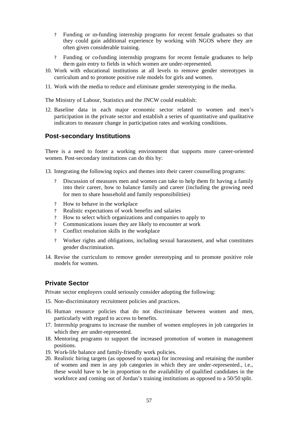- ? Funding or co-funding internship programs for recent female graduates so that they could gain additional experience by working with NGOS where they are often given considerable training.
- ? Funding or co-funding internship programs for recent female graduates to help them gain entry to fields in which women are under-represented.
- 10. Work with educational institutions at all levels to remove gender stereotypes in curriculum and to promote positive role models for girls and women.
- 11. Work with the media to reduce and eliminate gender stereotyping in the media.

The Ministry of Labour, Statistics and the JNCW could establish:

12. Baseline data in each major economic sector related to women and men's participation in the private sector and establish a series of quantitative and qualitative indicators to measure change in participation rates and working conditions.

#### **Post-secondary Institutions**

There is a need to foster a working environment that supports more career-oriented women. Post-secondary institutions can do this by:

13. Integrating the following topics and themes into their career counselling programs:

- ? Discussion of measures men and women can take to help them fit having a family into their career, how to balance family and career (including the growing need for men to share household and family responsibilities)
- ? How to behave in the workplace
- ? Realistic expectations of work benefits and salaries
- ? How to select which organizations and companies to apply to
- ? Communications issues they are likely to encounter at work
- ? Conflict resolution skills in the workplace
- ? Worker rights and obligations, including sexual harassment, and what constitutes gender discrimination.
- 14. Revise the curriculum to remove gender stereotyping and to promote positive role models for women.

#### **Private Sector**

Private sector employers could seriously consider adopting the following:

- 15. Non-discriminatory recruitment policies and practices.
- 16. Human resource policies that do not discriminate between women and men, particularly with regard to access to benefits.
- 17. Internship programs to increase the number of women employees in job categories in which they are under-represented.
- 18. Mentoring programs to support the increased promotion of women in management positions.
- 19. Work-life balance and family-friendly work policies.
- 20. Realistic hiring targets (as opposed to quotas) for increasing and retaining the number of women and men in any job categories in which they are under-represented., i.e., these would have to be in proportion to the availability of qualified candidates in the workforce and coming out of Jordan's training institutions as opposed to a 50/50 split.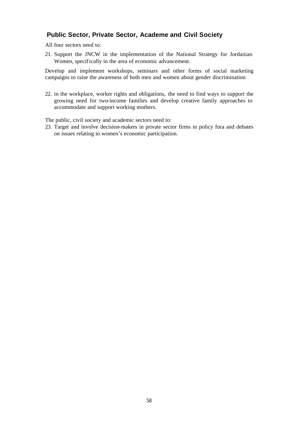### **Public Sector, Private Sector, Academe and Civil Society**

All four sectors need to:

21. Support the JNCW in the implementation of the National Strategy for Jordanian Women, specifically in the area of economic advancement.

Develop and implement workshops, seminars and other forms of social marketing campaigns to raise the awareness of both men and women about gender discrimination

22. in the workplace, worker rights and obligations, the need to find ways to support the growing need for two-income families and develop creative family approaches to accommodate and support working mothers.

The public, civil society and academic sectors need to:

23. Target and involve decision-makers in private sector firms in policy fora and debates on issues relating to women's economic participation.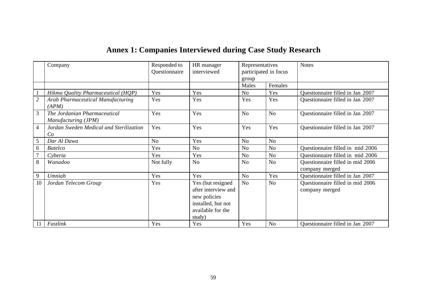| <b>Annex 1: Companies Interviewed during Case Study Research</b> |  |  |
|------------------------------------------------------------------|--|--|
|                                                                  |  |  |

|                | Company                                             | Responded to<br>Questionnaire | HR manager<br>interviewed                                                                                     | Representatives<br>participated in focus<br>group |                | <b>Notes</b>                                       |
|----------------|-----------------------------------------------------|-------------------------------|---------------------------------------------------------------------------------------------------------------|---------------------------------------------------|----------------|----------------------------------------------------|
|                |                                                     |                               |                                                                                                               | Males                                             | Females        |                                                    |
|                | Hikma Quality Pharmaceutical (HQP)                  | Yes                           | Yes                                                                                                           | N <sub>o</sub>                                    | Yes            | Questionnaire filled in Jan 2007                   |
| $\overline{2}$ | <b>Arab Pharmaceutical Manufacturing</b><br>(APM)   | Yes                           | Yes                                                                                                           | Yes                                               | Yes            | Questionnaire filled in Jan 2007                   |
| $\overline{3}$ | The Jordanian Pharmaceutical<br>Manufacturing (JPM) | Yes                           | Yes                                                                                                           | N <sub>o</sub>                                    | N <sub>o</sub> | Questionnaire filled in Jan 2007                   |
| $\overline{4}$ | Jordan Sweden Medical and Sterilization<br>Co       | Yes                           | Yes                                                                                                           | Yes                                               | Yes            | Questionnaire filled in Jan 2007                   |
| 5              | Dar Al Dawa                                         | N <sub>o</sub>                | Yes                                                                                                           | N <sub>o</sub>                                    | N <sub>o</sub> |                                                    |
| 6              | <b>Batelco</b>                                      | Yes                           | N <sub>o</sub>                                                                                                | N <sub>o</sub>                                    | N <sub>o</sub> | Questionnaire filled in mid 2006                   |
| $\overline{7}$ | Cyberia                                             | Yes                           | Yes                                                                                                           | N <sub>o</sub>                                    | N <sub>o</sub> | Questionnaire filled in mid 2006                   |
| 8              | Wanadoo                                             | Not fully                     | N <sub>o</sub>                                                                                                | N <sub>o</sub>                                    | N <sub>o</sub> | Questionnaire filled in mid 2006<br>company merged |
| 9              | Umniah                                              | Yes                           | Yes                                                                                                           | N <sub>o</sub>                                    | Yes            | Questionnaire filled in Jan 2007                   |
| 10             | Jordan Telecom Group                                | Yes                           | Yes (but resigned<br>after interview and<br>new policies<br>installed, but not<br>available for the<br>study) | N <sub>o</sub>                                    | N <sub>o</sub> | Questionnaire filled in mid 2006<br>company merged |
| 11             | Fastlink                                            | Yes                           | Yes                                                                                                           | Yes                                               | N <sub>o</sub> | Ouestionnaire filled in Jan 2007                   |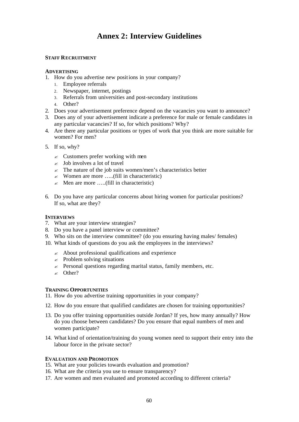# **Annex 2: Interview Guidelines**

#### **STAFF RECRUITMENT**

#### **ADVERTISING**

- 1. How do you advertise new positions in your company?
	- 1. Employee referrals
	- 2. Newspaper, internet, postings
	- 3. Referrals from universities and post-secondary institutions
	- 4. Other?
- 2. Does your advertisement preference depend on the vacancies you want to announce?
- 3. Does any of your advertisement indicate a preference for male or female candidates in any particular vacancies? If so, for which positions? Why?
- 4. Are there any particular positions or types of work that you think are more suitable for women? For men?
- 5. If so, why?
	- $\leq$  Customers prefer working with men
	- $\leq$  Job involves a lot of travel
	- $\le$  The nature of the job suits women/men's characteristics better
	- $\mathscr{L}$  Women are more .....(fill in characteristic)
	- $\approx$  Men are more .....(fill in characteristic)
- 6. Do you have any particular concerns about hiring women for particular positions? If so, what are they?

#### **INTERVIEWS**

- 7. What are your interview strategies?
- 8. Do you have a panel interview or committee?
- 9. Who sits on the interview committee? (do you ensuring having males/ females)
- 10. What kinds of questions do you ask the employees in the interviews?
	- $\approx$  About professional qualifications and experience
	- $\approx$  Problem solving situations
	- $\approx$  Personal questions regarding marital status, family members, etc.
	- $\ltimes$  Other?

#### **TRAINING OPPORTUNITIES**

- 11. How do you advertise training opportunities in your company?
- 12. How do you ensure that qualified candidates are chosen for training opportunities?
- 13. Do you offer training opportunities outside Jordan? If yes, how many annually? How do you choose between candidates? Do you ensure that equal numbers of men and women participate?
- 14. What kind of orientation/training do young women need to support their entry into the labour force in the private sector?

#### **EVALUATION AND PROMOTION**

- 15. What are your policies towards evaluation and promotion?
- 16. What are the criteria you use to ensure transparency?
- 17. Are women and men evaluated and promoted according to different criteria?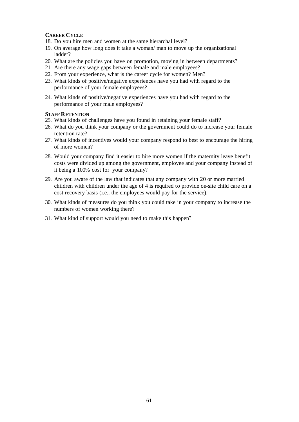#### **CAREER CYCLE**

- 18. Do you hire men and women at the same hierarchal level?
- 19. On average how long does it take a woman/ man to move up the organizational ladder?
- 20. What are the policies you have on promotion, moving in between departments?
- 21. Are there any wage gaps between female and male employees?
- 22. From your experience, what is the career cycle for women? Men?
- 23. What kinds of positive/negative experiences have you had with regard to the performance of your female employees?
- 24. What kinds of positive/negative experiences have you had with regard to the performance of your male employees?

#### **STAFF RETENTION**

- 25. What kinds of challenges have you found in retaining your female staff?
- 26. What do you think your company or the government could do to increase your female retention rate?
- 27. What kinds of incentives would your company respond to best to encourage the hiring of more women?
- 28. Would your company find it easier to hire more women if the maternity leave benefit costs were divided up among the government, employee and your company instead of it being a 100% cost for your company?
- 29. Are you aware of the law that indicates that any company with 20 or more married children with children under the age of 4 is required to provide on-site child care on a cost recovery basis (i.e., the employees would pay for the service).
- 30. What kinds of measures do you think you could take in your company to increase the numbers of women working there?
- 31. What kind of support would you need to make this happen?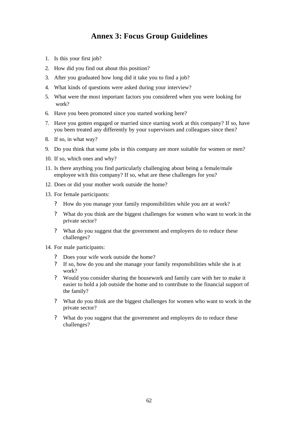# **Annex 3: Focus Group Guidelines**

- 1. Is this your first job?
- 2. How did you find out about this position?
- 3. After you graduated how long did it take you to find a job?
- 4. What kinds of questions were asked during your interview?
- 5. What were the most important factors you considered when you were looking for work?
- 6. Have you been promoted since you started working here?
- 7. Have you gotten engaged or married since starting work at this company? If so, have you been treated any differently by your supervisors and colleagues since then?
- 8. If so, in what way?
- 9. Do you think that some jobs in this company are more suitable for women or men?
- 10. If so, which ones and why?
- 11. Is there anything you find particularly challenging about being a female/male employee wit h this company? If so, what are these challenges for you?
- 12. Does or did your mother work outside the home?
- 13. For female participants:
	- ? How do you manage your family responsibilities while you are at work?
	- ? What do you think are the biggest challenges for women who want to work in the private sector?
	- ? What do you suggest that the government and employers do to reduce these challenges?
- 14. For male participants:
	- ? Does your wife work outside the home?
	- ? If so, how do you and she manage your family responsibilities while she is at work?
	- ? Would you consider sharing the housework and family care with her to make it easier to hold a job outside the home and to contribute to the financial support of the family?
	- ? What do you think are the biggest challenges for women who want to work in the private sector?
	- ? What do you suggest that the government and employers do to reduce these challenges?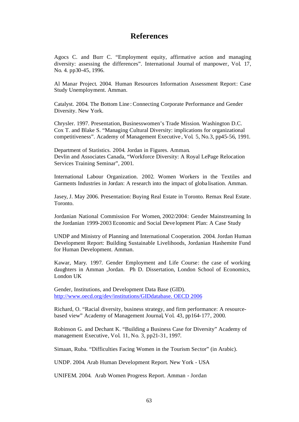### **References**

Agocs C. and Burr C. "Employment equity, affirmative action and managing diversity: assessing the differences". International Journal of manpower, Vol. 17, No. 4. pp30-45, 1996.

Al Manar Project. 2004. Human Resources Information Assessment Report: Case Study Unemployment. Amman.

Catalyst. 2004. The Bottom Line : Connecting Corporate Performance and Gender Diversity. New York.

Chrysler. 1997. Presentation, Businesswomen's Trade Mission. Washington D.C. Cox T. and Blake S. "Managing Cultural Diversity: implications for organizational competitiveness". Academy of Management Executive , Vol. 5, No.3, pp45-56, 1991.

Department of Statistics. 2004. Jordan in Figures. Amman. Devlin and Associates Canada, "Workforce Diversity: A Royal LePage Relocation Services Training Seminar", 2001.

International Labour Organization. 2002. Women Workers in the Textiles and Garments Industries in Jordan: A research into the impact of globa lisation. Amman.

Jasey, J. May 2006. Presentation: Buying Real Estate in Toronto. Remax Real Estate. Toronto.

Jordanian National Commission For Women, 2002/2004: Gender Mainstreaming In the Jordanian 1999-2003 Economic and Social Deve lopment Plan: A Case Study

UNDP and Ministry of Planning and International Cooperation. 2004. Jordan Human Development Report: Building Sustainable Livelihoods, Jordanian Hashemite Fund for Human Development. Amman.

Kawar, Mary. 1997. Gender Employment and Life Course: the case of working daughters in Amman ,Jordan. Ph D. Dissertation, London School of Economics, London UK

Gender, Institutions, and Development Data Base (GID). http://www.oecd.org/dev/institutions/GIDdatabase. OECD 2006

Richard, O. "Racial diversity, business strategy, and firm performance: A resourcebased view" Academy of Management Journal, Vol. 43, pp164-177, 2000.

Robinson G. and Dechant K. "Building a Business Case for Diversity" Academy of management Executive, Vol. 11, No. 3, pp21-31, 1997.

Simaan, Ruba. "Difficulties Facing Women in the Tourism Sector" (in Arabic).

UNDP. 2004. Arab Human Development Report. New York - USA

UNIFEM. 2004. Arab Women Progress Report. Amman - Jordan